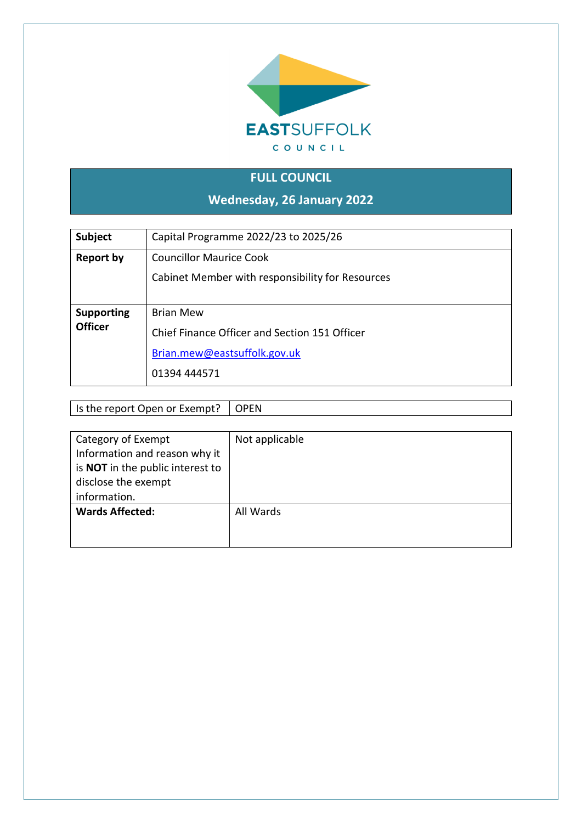

# **FULL COUNCIL**

**Wednesday, 26 January 2022**

| <b>Subject</b>                      | Capital Programme 2022/23 to 2025/26                                                                              |  |  |  |  |
|-------------------------------------|-------------------------------------------------------------------------------------------------------------------|--|--|--|--|
| Report by                           | <b>Councillor Maurice Cook</b><br>Cabinet Member with responsibility for Resources                                |  |  |  |  |
| <b>Supporting</b><br><b>Officer</b> | <b>Brian Mew</b><br>Chief Finance Officer and Section 151 Officer<br>Brian.mew@eastsuffolk.gov.uk<br>01394 444571 |  |  |  |  |

Is the report Open or Exempt?  $\Box$  OPEN

| Category of Exempt                      | Not applicable |
|-----------------------------------------|----------------|
| Information and reason why it           |                |
| is <b>NOT</b> in the public interest to |                |
| disclose the exempt                     |                |
| information.                            |                |
| <b>Wards Affected:</b>                  | All Wards      |
|                                         |                |
|                                         |                |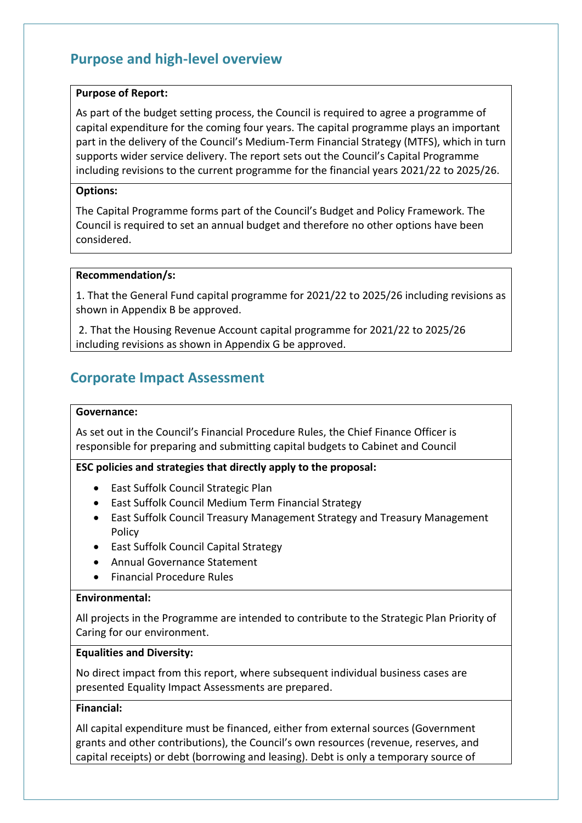# **Purpose and high-level overview**

#### **Purpose of Report:**

As part of the budget setting process, the Council is required to agree a programme of capital expenditure for the coming four years. The capital programme plays an important part in the delivery of the Council's Medium-Term Financial Strategy (MTFS), which in turn supports wider service delivery. The report sets out the Council's Capital Programme including revisions to the current programme for the financial years 2021/22 to 2025/26.

#### **Options:**

The Capital Programme forms part of the Council's Budget and Policy Framework. The Council is required to set an annual budget and therefore no other options have been considered.

#### **Recommendation/s:**

1. That the General Fund capital programme for 2021/22 to 2025/26 including revisions as shown in Appendix B be approved.

2. That the Housing Revenue Account capital programme for 2021/22 to 2025/26 including revisions as shown in Appendix G be approved.

## **Corporate Impact Assessment**

#### **Governance:**

As set out in the Council's Financial Procedure Rules, the Chief Finance Officer is responsible for preparing and submitting capital budgets to Cabinet and Council

## **ESC policies and strategies that directly apply to the proposal:**

- East Suffolk Council Strategic Plan
- East Suffolk Council Medium Term Financial Strategy
- East Suffolk Council Treasury Management Strategy and Treasury Management Policy
- East Suffolk Council Capital Strategy
- Annual Governance Statement
- Financial Procedure Rules

### **Environmental:**

All projects in the Programme are intended to contribute to the Strategic Plan Priority of Caring for our environment.

#### **Equalities and Diversity:**

No direct impact from this report, where subsequent individual business cases are presented Equality Impact Assessments are prepared.

## **Financial:**

All capital expenditure must be financed, either from external sources (Government grants and other contributions), the Council's own resources (revenue, reserves, and capital receipts) or debt (borrowing and leasing). Debt is only a temporary source of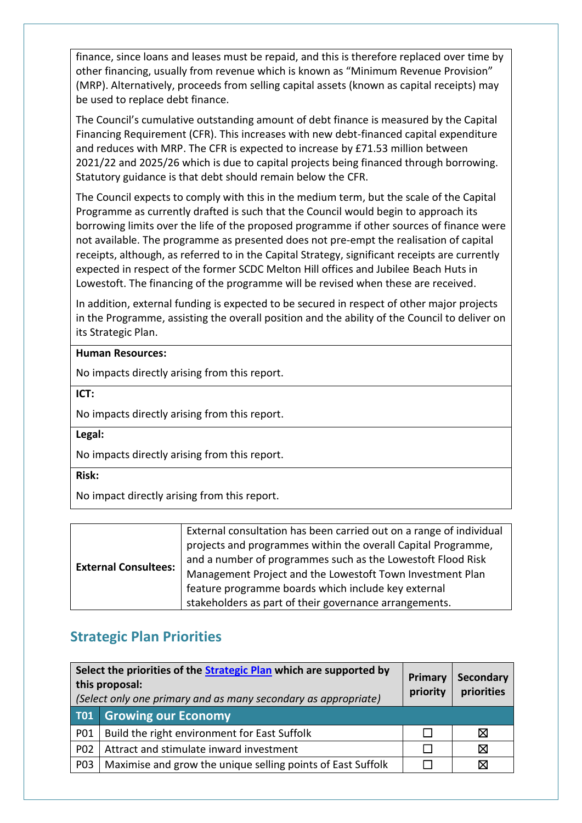finance, since loans and leases must be repaid, and this is therefore replaced over time by other financing, usually from revenue which is known as "Minimum Revenue Provision" (MRP). Alternatively, proceeds from selling capital assets (known as capital receipts) may be used to replace debt finance.

The Council's cumulative outstanding amount of debt finance is measured by the Capital Financing Requirement (CFR). This increases with new debt-financed capital expenditure and reduces with MRP. The CFR is expected to increase by £71.53 million between 2021/22 and 2025/26 which is due to capital projects being financed through borrowing. Statutory guidance is that debt should remain below the CFR.

The Council expects to comply with this in the medium term, but the scale of the Capital Programme as currently drafted is such that the Council would begin to approach its borrowing limits over the life of the proposed programme if other sources of finance were not available. The programme as presented does not pre-empt the realisation of capital receipts, although, as referred to in the Capital Strategy, significant receipts are currently expected in respect of the former SCDC Melton Hill offices and Jubilee Beach Huts in Lowestoft. The financing of the programme will be revised when these are received.

In addition, external funding is expected to be secured in respect of other major projects in the Programme, assisting the overall position and the ability of the Council to deliver on its Strategic Plan.

## **Human Resources:**

No impacts directly arising from this report.

**ICT:**

No impacts directly arising from this report.

**Legal:**

No impacts directly arising from this report.

**Risk:**

No impact directly arising from this report.

# **Strategic Plan Priorities**

| Select the priorities of the <b>Strategic Plan</b> which are supported by<br>this proposal:<br>(Select only one primary and as many secondary as appropriate) |                                                             | Primary<br>priority | Secondary<br>priorities |
|---------------------------------------------------------------------------------------------------------------------------------------------------------------|-------------------------------------------------------------|---------------------|-------------------------|
| <b>T01</b>                                                                                                                                                    | <b>Growing our Economy</b>                                  |                     |                         |
| <b>PO1</b>                                                                                                                                                    | Build the right environment for East Suffolk                |                     | ⋈                       |
| <b>P02</b>                                                                                                                                                    | Attract and stimulate inward investment                     |                     | Χ                       |
| <b>P03</b>                                                                                                                                                    | Maximise and grow the unique selling points of East Suffolk |                     |                         |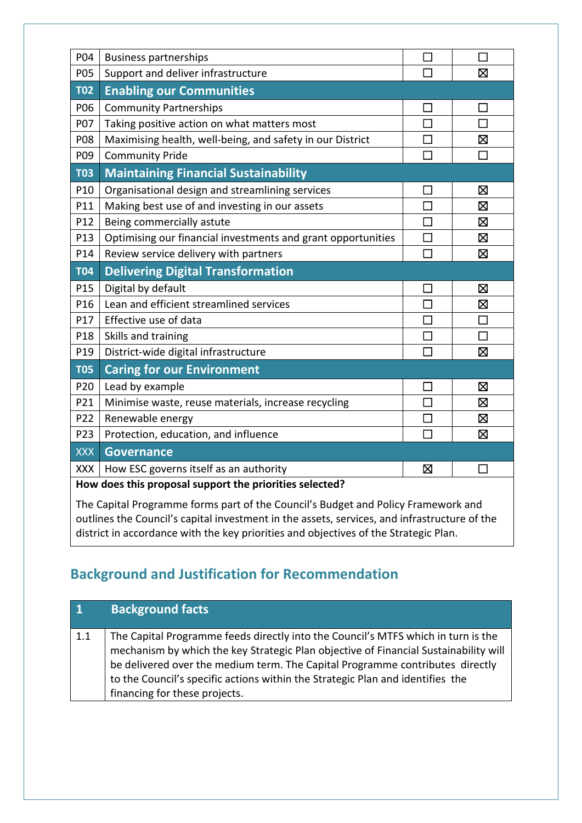| P04             | <b>Business partnerships</b>                                 | $\mathbf{L}$ |             |
|-----------------|--------------------------------------------------------------|--------------|-------------|
| P05             | Support and deliver infrastructure                           | П            | X           |
| <b>T02</b>      | <b>Enabling our Communities</b>                              |              |             |
| P06             | <b>Community Partnerships</b>                                | Π            | П           |
| P07             | Taking positive action on what matters most                  | $\Box$       |             |
| P08             | Maximising health, well-being, and safety in our District    | П            | 区           |
| P09             | <b>Community Pride</b>                                       | $\Box$       | $\Box$      |
| <b>T03</b>      | <b>Maintaining Financial Sustainability</b>                  |              |             |
| P10             | Organisational design and streamlining services              |              | ⊠           |
| P11             | Making best use of and investing in our assets               | $\Box$       | ⊠           |
| P12             | Being commercially astute                                    | П            | ⊠           |
| P13             | Optimising our financial investments and grant opportunities | $\Box$       | Ø           |
| P14             | Review service delivery with partners                        | П            | ⊠           |
| <b>T04</b>      | <b>Delivering Digital Transformation</b>                     |              |             |
| P15             | Digital by default                                           | $\Box$       | ⊠           |
| P16             | Lean and efficient streamlined services                      |              | ⊠           |
| P17             | Effective use of data                                        | $\Box$       | П           |
|                 |                                                              |              |             |
| P18             | Skills and training                                          | $\Box$       | П           |
| P19             | District-wide digital infrastructure                         | П            | X           |
| <b>T05</b>      | <b>Caring for our Environment</b>                            |              |             |
| P <sub>20</sub> | Lead by example                                              | $\mathsf{L}$ | 区           |
| P21             | Minimise waste, reuse materials, increase recycling          | П            | ⊠           |
| P22             | Renewable energy                                             | П            | 区           |
| P23             | Protection, education, and influence                         | П            | $\boxtimes$ |
| <b>XXX</b>      | <b>Governance</b>                                            |              |             |
| <b>XXX</b>      | How ESC governs itself as an authority                       | ⊠            | $\Box$      |

The Capital Programme forms part of the Council's Budget and Policy Framework and outlines the Council's capital investment in the assets, services, and infrastructure of the district in accordance with the key priorities and objectives of the Strategic Plan.

# **Background and Justification for Recommendation**

| $\blacksquare$ | <b>Background facts</b>                                                                                                                                                                                                                                                                                                                                                       |
|----------------|-------------------------------------------------------------------------------------------------------------------------------------------------------------------------------------------------------------------------------------------------------------------------------------------------------------------------------------------------------------------------------|
| 1.1            | The Capital Programme feeds directly into the Council's MTFS which in turn is the<br>mechanism by which the key Strategic Plan objective of Financial Sustainability will<br>be delivered over the medium term. The Capital Programme contributes directly<br>to the Council's specific actions within the Strategic Plan and identifies the<br>financing for these projects. |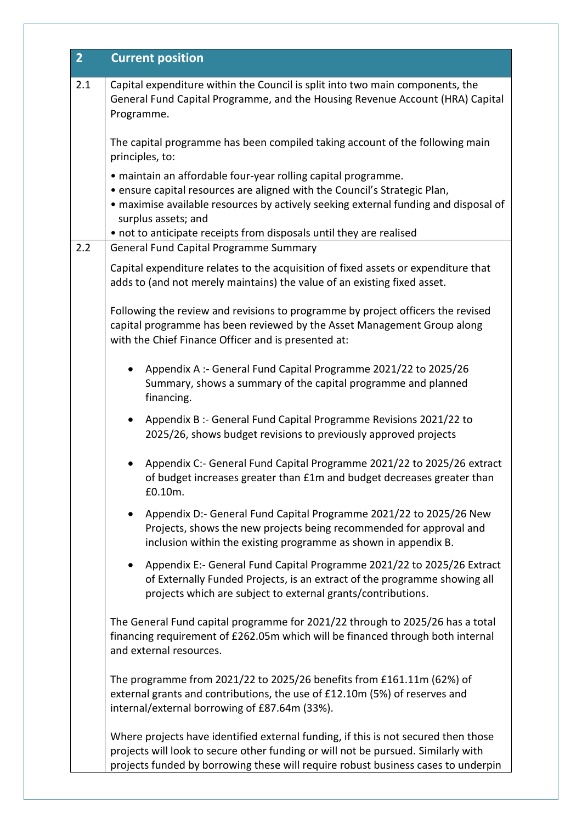| $\overline{2}$ | <b>Current position</b>                                                                                                                                                                                                                                      |
|----------------|--------------------------------------------------------------------------------------------------------------------------------------------------------------------------------------------------------------------------------------------------------------|
| 2.1            | Capital expenditure within the Council is split into two main components, the<br>General Fund Capital Programme, and the Housing Revenue Account (HRA) Capital<br>Programme.                                                                                 |
|                | The capital programme has been compiled taking account of the following main<br>principles, to:                                                                                                                                                              |
|                | · maintain an affordable four-year rolling capital programme.<br>. ensure capital resources are aligned with the Council's Strategic Plan,<br>• maximise available resources by actively seeking external funding and disposal of<br>surplus assets; and     |
| 2.2            | • not to anticipate receipts from disposals until they are realised<br><b>General Fund Capital Programme Summary</b>                                                                                                                                         |
|                | Capital expenditure relates to the acquisition of fixed assets or expenditure that<br>adds to (and not merely maintains) the value of an existing fixed asset.                                                                                               |
|                | Following the review and revisions to programme by project officers the revised<br>capital programme has been reviewed by the Asset Management Group along<br>with the Chief Finance Officer and is presented at:                                            |
|                | Appendix A :- General Fund Capital Programme 2021/22 to 2025/26<br>$\bullet$<br>Summary, shows a summary of the capital programme and planned<br>financing.                                                                                                  |
|                | Appendix B :- General Fund Capital Programme Revisions 2021/22 to<br>$\bullet$<br>2025/26, shows budget revisions to previously approved projects                                                                                                            |
|                | Appendix C:- General Fund Capital Programme 2021/22 to 2025/26 extract<br>of budget increases greater than £1m and budget decreases greater than<br>£0.10m.                                                                                                  |
|                | Appendix D:- General Fund Capital Programme 2021/22 to 2025/26 New<br>٠<br>Projects, shows the new projects being recommended for approval and<br>inclusion within the existing programme as shown in appendix B.                                            |
|                | Appendix E:- General Fund Capital Programme 2021/22 to 2025/26 Extract<br>$\bullet$<br>of Externally Funded Projects, is an extract of the programme showing all<br>projects which are subject to external grants/contributions.                             |
|                | The General Fund capital programme for 2021/22 through to 2025/26 has a total<br>financing requirement of £262.05m which will be financed through both internal<br>and external resources.                                                                   |
|                | The programme from 2021/22 to 2025/26 benefits from £161.11m (62%) of<br>external grants and contributions, the use of £12.10m (5%) of reserves and<br>internal/external borrowing of £87.64m (33%).                                                         |
|                | Where projects have identified external funding, if this is not secured then those<br>projects will look to secure other funding or will not be pursued. Similarly with<br>projects funded by borrowing these will require robust business cases to underpin |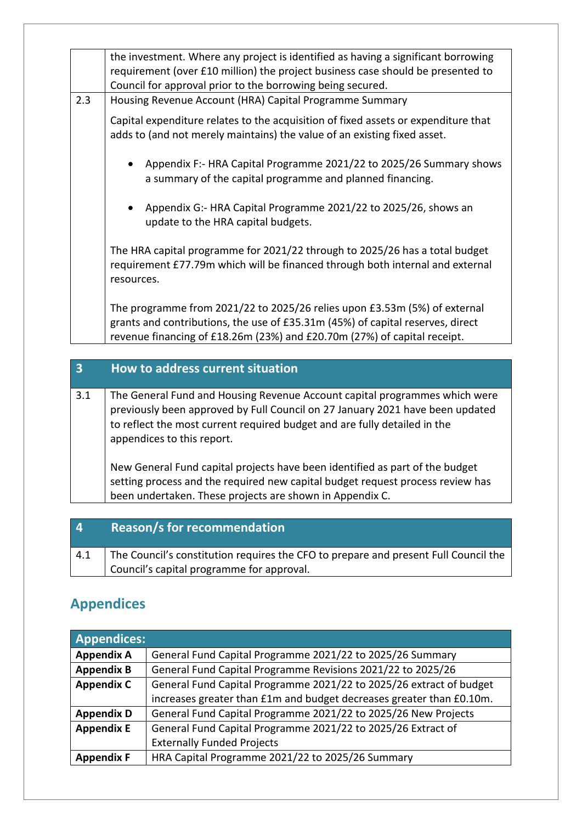|     | the investment. Where any project is identified as having a significant borrowing<br>requirement (over £10 million) the project business case should be presented to<br>Council for approval prior to the borrowing being secured.      |
|-----|-----------------------------------------------------------------------------------------------------------------------------------------------------------------------------------------------------------------------------------------|
| 2.3 | Housing Revenue Account (HRA) Capital Programme Summary                                                                                                                                                                                 |
|     | Capital expenditure relates to the acquisition of fixed assets or expenditure that<br>adds to (and not merely maintains) the value of an existing fixed asset.                                                                          |
|     | Appendix F:- HRA Capital Programme 2021/22 to 2025/26 Summary shows<br>a summary of the capital programme and planned financing.                                                                                                        |
|     | Appendix G:- HRA Capital Programme 2021/22 to 2025/26, shows an<br>$\bullet$<br>update to the HRA capital budgets.                                                                                                                      |
|     | The HRA capital programme for 2021/22 through to 2025/26 has a total budget<br>requirement £77.79m which will be financed through both internal and external<br>resources.                                                              |
|     | The programme from 2021/22 to 2025/26 relies upon £3.53m (5%) of external<br>grants and contributions, the use of £35.31m (45%) of capital reserves, direct<br>revenue financing of £18.26m (23%) and £20.70m (27%) of capital receipt. |

| $\overline{\mathbf{3}}$ | How to address current situation                                                                                                                                                                                                                                       |
|-------------------------|------------------------------------------------------------------------------------------------------------------------------------------------------------------------------------------------------------------------------------------------------------------------|
| 3.1                     | The General Fund and Housing Revenue Account capital programmes which were<br>previously been approved by Full Council on 27 January 2021 have been updated<br>to reflect the most current required budget and are fully detailed in the<br>appendices to this report. |
|                         | New General Fund capital projects have been identified as part of the budget<br>setting process and the required new capital budget request process review has<br>been undertaken. These projects are shown in Appendix C.                                             |

| $\overline{4}$ | <b>Reason/s for recommendation</b>                                                  |
|----------------|-------------------------------------------------------------------------------------|
| 4.1            | The Council's constitution requires the CFO to prepare and present Full Council the |
|                | Council's capital programme for approval.                                           |

# **Appendices**

| <b>Appendices:</b> |                                                                      |
|--------------------|----------------------------------------------------------------------|
| <b>Appendix A</b>  | General Fund Capital Programme 2021/22 to 2025/26 Summary            |
| <b>Appendix B</b>  | General Fund Capital Programme Revisions 2021/22 to 2025/26          |
| <b>Appendix C</b>  | General Fund Capital Programme 2021/22 to 2025/26 extract of budget  |
|                    | increases greater than £1m and budget decreases greater than £0.10m. |
| <b>Appendix D</b>  | General Fund Capital Programme 2021/22 to 2025/26 New Projects       |
| <b>Appendix E</b>  | General Fund Capital Programme 2021/22 to 2025/26 Extract of         |
|                    | <b>Externally Funded Projects</b>                                    |
| <b>Appendix F</b>  | HRA Capital Programme 2021/22 to 2025/26 Summary                     |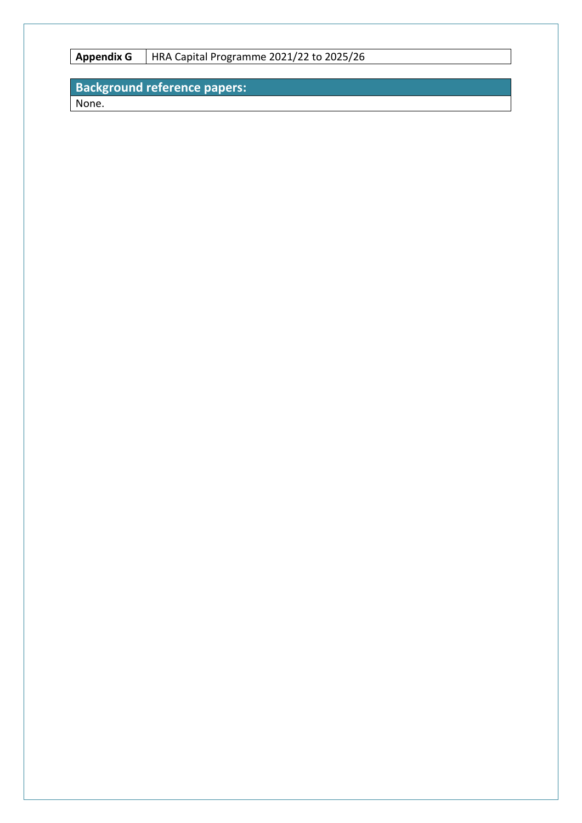**Appendix G** HRA Capital Programme 2021/22 to 2025/26

# **Background reference papers:**

None.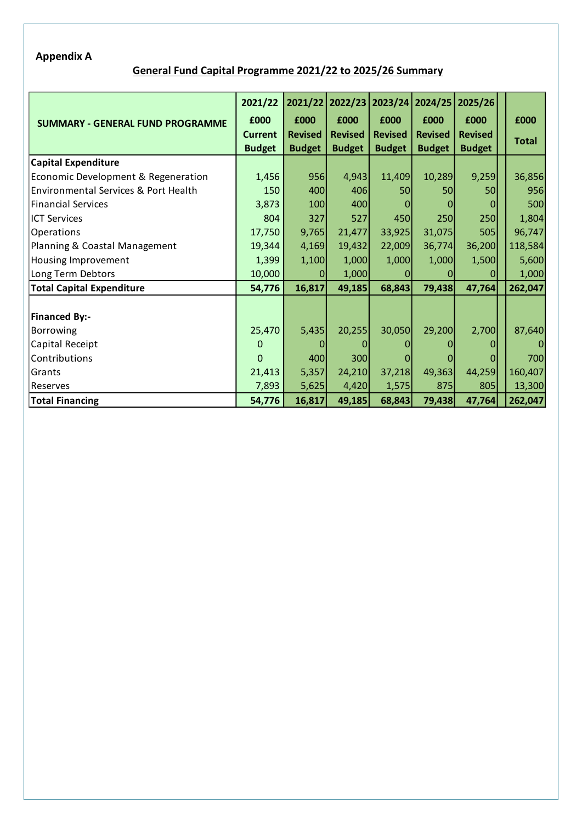## **Appendix A**

## **General Fund Capital Programme 2021/22 to 2025/26 Summary**

|                                                 | 2021/22        |                | 2021/22 2022/23 |                |                | 2023/24 2024/25 2025/26 |              |
|-------------------------------------------------|----------------|----------------|-----------------|----------------|----------------|-------------------------|--------------|
| <b>SUMMARY - GENERAL FUND PROGRAMME</b>         | £000           | £000           | £000            | £000           | £000           | £000                    | £000         |
|                                                 | <b>Current</b> | <b>Revised</b> | <b>Revised</b>  | <b>Revised</b> | <b>Revised</b> | <b>Revised</b>          | <b>Total</b> |
|                                                 | <b>Budget</b>  | <b>Budget</b>  | <b>Budget</b>   | <b>Budget</b>  | <b>Budget</b>  | <b>Budget</b>           |              |
| <b>Capital Expenditure</b>                      |                |                |                 |                |                |                         |              |
| Economic Development & Regeneration             | 1,456          | 956            | 4,943           | 11,409         | 10,289         | 9,259                   | 36,856       |
| <b>Environmental Services &amp; Port Health</b> | 150            | 400            | 406             | 50             | 50             | 50                      | 956          |
| Financial Services                              | 3,873          | 100            | 400             |                |                | 0                       | 500          |
| <b>ICT Services</b>                             | 804            | 327            | 527             | 450            | 250            | 250                     | 1,804        |
| Operations                                      | 17,750         | 9,765          | 21,477          | 33,925         | 31,075         | 505                     | 96,747       |
| Planning & Coastal Management                   | 19,344         | 4,169          | 19,432          | 22,009         | 36,774         | 36,200                  | 118,584      |
| Housing Improvement                             | 1,399          | 1,100          | 1,000           | 1,000          | 1,000          | 1,500                   | 5,600        |
| Long Term Debtors                               | 10,000         | $\Omega$       | 1,000           |                |                |                         | 1,000        |
| <b>Total Capital Expenditure</b>                | 54,776         | 16,817         | 49,185          | 68,843         | 79,438         | 47,764                  | 262,047      |
|                                                 |                |                |                 |                |                |                         |              |
| <b>Financed By:-</b>                            |                |                |                 |                |                |                         |              |
| Borrowing                                       | 25,470         | 5,435          | 20,255          | 30,050         | 29,200         | 2,700                   | 87,640       |
| Capital Receipt                                 | $\mathbf 0$    | $\overline{0}$ | 0               |                |                | 0                       | $\Omega$     |
| Contributions                                   | $\Omega$       | 400            | 300             |                |                |                         | 700          |
| Grants                                          | 21,413         | 5,357          | 24,210          | 37,218         | 49,363         | 44,259                  | 160,407      |
| Reserves                                        | 7,893          | 5,625          | 4,420           | 1,575          | 875            | 805                     | 13,300       |
| <b>Total Financing</b>                          | 54,776         | 16,817         | 49,185          | 68,843         | 79,438         | 47,764                  | 262,047      |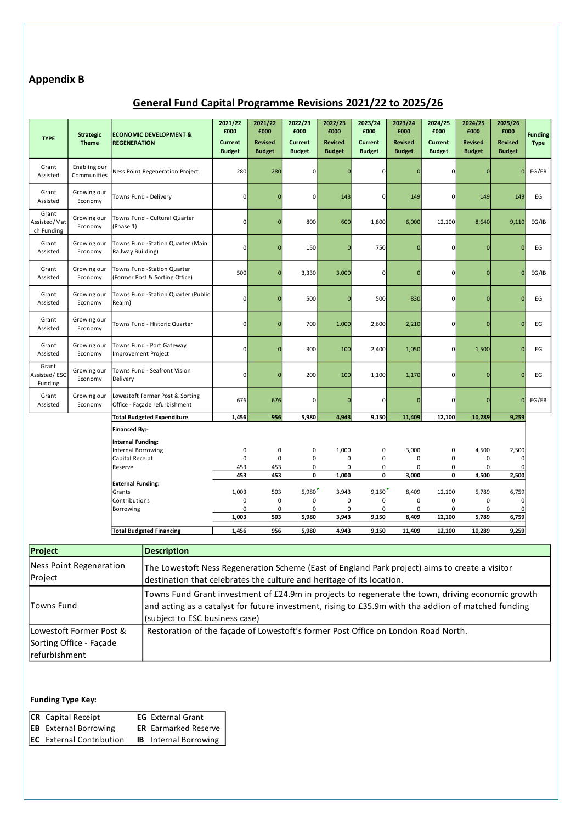## **Appendix B**

## **General Fund Capital Programme Revisions 2021/22 to 2025/26**

| <b>TYPE</b>                         | <b>Strategic</b><br><b>Theme</b> | <b>REGENERATION</b>                | <b>ECONOMIC DEVELOPMENT &amp;</b>                                                              | 2021/22<br>£000<br><b>Current</b><br><b>Budget</b> | 2021/22<br>£000<br><b>Revised</b><br><b>Budget</b> | 2022/23<br>£000<br><b>Current</b><br><b>Budget</b> | 2022/23<br>£000<br><b>Revised</b><br><b>Budget</b> | 2023/24<br>£000<br><b>Current</b><br><b>Budget</b> | 2023/24<br>£000<br><b>Revised</b><br><b>Budget</b> | 2024/25<br>£000<br><b>Current</b><br><b>Budget</b> | 2024/25<br>£000<br><b>Revised</b><br><b>Budget</b> | 2025/26<br>£000<br>Revised<br><b>Budget</b> | <b>Funding</b><br><b>Type</b> |
|-------------------------------------|----------------------------------|------------------------------------|------------------------------------------------------------------------------------------------|----------------------------------------------------|----------------------------------------------------|----------------------------------------------------|----------------------------------------------------|----------------------------------------------------|----------------------------------------------------|----------------------------------------------------|----------------------------------------------------|---------------------------------------------|-------------------------------|
| Grant<br>Assisted                   | Enabling our<br>Communities      |                                    | Ness Point Regeneration Project                                                                | 280                                                | 280                                                | 0                                                  |                                                    | 0                                                  | $\mathbf{0}$                                       | $\mathbf 0$                                        | $\mathbf 0$                                        | $\overline{0}$                              | EG/ER                         |
| Grant<br>Assisted                   | Growing our<br>Economy           | Towns Fund - Delivery              |                                                                                                | $\mathbf{0}$                                       | $\Omega$                                           | $\mathbf 0$                                        | 143                                                | $\mathbf{0}$                                       | 149                                                | $\mathbf 0$                                        | 149                                                | 149                                         | EG                            |
| Grant<br>Assisted/Mat<br>ch Funding | Growing our<br>Economy           | (Phase 1)                          | Towns Fund - Cultural Quarter                                                                  | $\overline{0}$                                     | $\mathbf 0$                                        | 800                                                | 600                                                | 1,800                                              | 6,000                                              | 12,100                                             | 8,640                                              | 9,110                                       | EG/IB                         |
| Grant<br>Assisted                   | Growing our<br>Economy           | Railway Building)                  | Towns Fund -Station Quarter (Main                                                              | $\mathbf{0}$                                       | $\Omega$                                           | 150                                                |                                                    | 750                                                | $\Omega$                                           | $\mathbf 0$                                        | $\mathbf 0$                                        | $\Omega$                                    | EG                            |
| Grant<br>Assisted                   | Growing our<br>Economy           |                                    | Towns Fund -Station Quarter<br>(Former Post & Sorting Office)                                  | 500                                                | $\mathbf 0$                                        | 3,330                                              | 3,000                                              | 0                                                  | $\Omega$                                           | $\mathbf 0$                                        | $\mathbf 0$                                        | $\overline{0}$                              | EG/IB                         |
| Grant<br>Assisted                   | Growing our<br>Economy           | Realm)                             | Towns Fund -Station Quarter (Public                                                            | $\mathbf 0$                                        | $\mathbf 0$                                        | 500                                                | n                                                  | 500                                                | 830                                                | $\mathbf 0$                                        | $\mathbf{0}$                                       | $\Omega$                                    | EG                            |
| Grant<br>Assisted                   | Growing our<br>Economy           |                                    | Towns Fund - Historic Quarter                                                                  | $\overline{0}$                                     | $\mathbf 0$                                        | 700                                                | 1,000                                              | 2,600                                              | 2,210                                              | $\mathsf{O}\xspace$                                | $\mathbf 0$                                        | $\overline{0}$                              | EG                            |
| Grant<br>Assisted                   | Growing our<br>Economy           | Improvement Project                | Towns Fund - Port Gateway                                                                      | $\overline{0}$                                     | $\Omega$                                           | 300                                                | 100                                                | 2,400                                              | 1,050                                              | $\mathbf 0$                                        | 1,500                                              | $\overline{0}$                              | EG                            |
| Grant<br>Assisted/ ESC<br>Funding   | Growing our<br>Economy           | Delivery                           | Towns Fund - Seafront Vision                                                                   | 0                                                  | $\Omega$                                           | 200                                                | 100                                                | 1,100                                              | 1,170                                              | $\mathbf 0$                                        | $\mathbf{0}$                                       | $\Omega$                                    | EG                            |
| Grant<br>Assisted                   | Growing our<br>Economy           |                                    | Lowestoft Former Post & Sorting<br>Office - Façade refurbishment                               | 676                                                | 676                                                | $\mathbf 0$                                        | $\Omega$                                           | $\mathbf 0$                                        | $\overline{0}$                                     | $\mathbf 0$                                        | $\mathbf 0$                                        | $\mathbf 0$                                 | EG/ER                         |
|                                     |                                  |                                    | <b>Total Budgeted Expenditure</b>                                                              | 1,456                                              | 956                                                | 5,980                                              | 4,943                                              | 9,150                                              | 11,409                                             | 12,100                                             | 10,289                                             | 9,259                                       |                               |
|                                     |                                  | <b>Financed By:-</b>               |                                                                                                |                                                    |                                                    |                                                    |                                                    |                                                    |                                                    |                                                    |                                                    |                                             |                               |
|                                     |                                  | <b>Internal Funding:</b>           |                                                                                                |                                                    |                                                    |                                                    |                                                    |                                                    |                                                    |                                                    |                                                    |                                             |                               |
|                                     |                                  | <b>Internal Borrowing</b>          |                                                                                                | 0                                                  | 0                                                  | 0                                                  | 1,000                                              | 0                                                  | 3,000                                              | $\pmb{0}$                                          | 4,500                                              | 2,500                                       |                               |
|                                     |                                  | Capital Receipt                    |                                                                                                | 0                                                  | $\pmb{0}$                                          | $\pmb{0}$                                          | 0                                                  | 0                                                  | $\mathbf 0$                                        | $\pmb{0}$                                          | $\mathbf 0$                                        | $\mathbf 0$                                 |                               |
|                                     |                                  | Reserve                            |                                                                                                | 453                                                | 453                                                | 0                                                  | 0                                                  | 0                                                  | 0                                                  | $\pmb{0}$                                          | 0                                                  | 0                                           |                               |
|                                     |                                  |                                    |                                                                                                | 453                                                | 453                                                | 0                                                  | 1,000                                              | 0                                                  | 3,000                                              | $\pmb{0}$                                          | 4,500                                              | 2,500                                       |                               |
|                                     |                                  | <b>External Funding:</b><br>Grants |                                                                                                | 1,003                                              | 503                                                | 5,980'                                             | 3,943                                              | 9,150                                              | 8,409                                              | 12,100                                             | 5,789                                              | 6,759                                       |                               |
|                                     |                                  | Contributions                      |                                                                                                | 0                                                  | 0                                                  | 0                                                  | 0                                                  | 0                                                  | $\mathsf 0$                                        | $\mathbf 0$                                        | $\mathbf 0$                                        | $\mathbf 0$                                 |                               |
|                                     |                                  | Borrowing                          |                                                                                                | 0                                                  | 0                                                  | 0                                                  | 0                                                  | 0                                                  | 0                                                  | $\mathbf 0$                                        | 0                                                  | $\Omega$                                    |                               |
|                                     |                                  |                                    |                                                                                                | 1,003                                              | 503                                                | 5,980                                              | 3,943                                              | 9,150                                              | 8,409                                              | 12,100                                             | 5,789                                              | 6,759                                       |                               |
|                                     |                                  |                                    | <b>Total Budgeted Financing</b>                                                                | 1,456                                              | 956                                                | 5,980                                              | 4,943                                              | 9,150                                              | 11,409                                             | 12,100                                             | 10,289                                             | 9,259                                       |                               |
| Project                             |                                  |                                    | <b>Description</b>                                                                             |                                                    |                                                    |                                                    |                                                    |                                                    |                                                    |                                                    |                                                    |                                             |                               |
|                                     |                                  |                                    |                                                                                                |                                                    |                                                    |                                                    |                                                    |                                                    |                                                    |                                                    |                                                    |                                             |                               |
|                                     | <b>Ness Point Regeneration</b>   |                                    | The Lowestoft Ness Regeneration Scheme (East of England Park project) aims to create a visitor |                                                    |                                                    |                                                    |                                                    |                                                    |                                                    |                                                    |                                                    |                                             |                               |
| Project                             |                                  |                                    | destination that celebrates the culture and heritage of its location.                          |                                                    |                                                    |                                                    |                                                    |                                                    |                                                    |                                                    |                                                    |                                             |                               |

|                         | acsumation that celebrates the calture and heritage or its location.                                                                                                                                                                       |
|-------------------------|--------------------------------------------------------------------------------------------------------------------------------------------------------------------------------------------------------------------------------------------|
| Towns Fund              | Towns Fund Grant investment of £24.9m in projects to regenerate the town, driving economic growth<br>and acting as a catalyst for future investment, rising to £35.9m with tha addion of matched funding<br>(subject to ESC business case) |
| Lowestoft Former Post & | Restoration of the facade of Lowestoft's former Post Office on London Road North.                                                                                                                                                          |
| Sorting Office - Facade |                                                                                                                                                                                                                                            |
| refurbishment           |                                                                                                                                                                                                                                            |

#### **Funding Type Key:**

| <b>CR</b> Capital Receipt       | <b>EG</b> External Grant     |
|---------------------------------|------------------------------|
| <b>EB</b> External Borrowing    | <b>ER</b> Earmarked Reserve  |
| <b>EC</b> External Contribution | <b>IB</b> Internal Borrowing |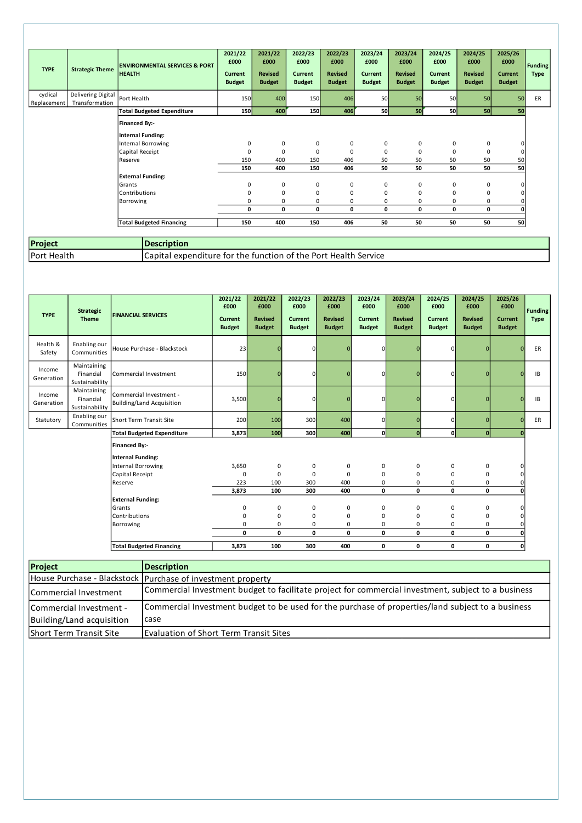| <b>TYPE</b>             | <b>Strategic Theme</b>               | <b>ENVIRONMENTAL SERVICES &amp; PORT</b><br><b>HEALTH</b> | 2021/22<br>£000<br>Current<br><b>Budget</b> | 2021/22<br>£000<br><b>Revised</b><br><b>Budget</b> | 2022/23<br>£000<br>Current<br><b>Budget</b> | 2022/23<br>£000<br><b>Revised</b><br><b>Budget</b> | 2023/24<br>£000<br><b>Current</b><br><b>Budget</b> | 2023/24<br>£000<br><b>Revised</b><br><b>Budget</b> | 2024/25<br>£000<br><b>Current</b><br><b>Budget</b> | 2024/25<br>£000<br><b>Revised</b><br><b>Budget</b> | 2025/26<br>£000<br><b>Current</b><br><b>Budget</b> | <b>Funding</b><br><b>Type</b> |
|-------------------------|--------------------------------------|-----------------------------------------------------------|---------------------------------------------|----------------------------------------------------|---------------------------------------------|----------------------------------------------------|----------------------------------------------------|----------------------------------------------------|----------------------------------------------------|----------------------------------------------------|----------------------------------------------------|-------------------------------|
| cyclical<br>Replacement | Delivering Digital<br>Transformation | Port Health                                               | 150                                         | 400                                                | 150                                         | 406                                                | 50                                                 | 50                                                 | 50                                                 | 50                                                 | 50                                                 | ER                            |
|                         |                                      | <b>Total Budgeted Expenditure</b>                         | 150                                         | 400                                                | 150                                         | 406                                                | <b>50</b>                                          | 50                                                 | <b>50</b>                                          | 50                                                 | 50                                                 |                               |
|                         |                                      | <b>Financed By:-</b><br>Internal Funding:                 |                                             |                                                    |                                             |                                                    |                                                    |                                                    |                                                    |                                                    |                                                    |                               |
|                         |                                      | Internal Borrowing                                        | 0                                           | 0                                                  | 0                                           | 0                                                  | 0                                                  | 0                                                  | 0                                                  | 0                                                  | $\Omega$                                           |                               |
|                         |                                      | Capital Receipt                                           | $\Omega$                                    | $\mathbf 0$                                        | $\mathbf 0$                                 | $\mathbf 0$                                        | $\mathbf 0$                                        | 0                                                  | $\Omega$                                           | 0                                                  | 0                                                  |                               |
|                         |                                      | Reserve                                                   | 150                                         | 400                                                | 150                                         | 406                                                | 50                                                 | 50                                                 | 50                                                 | 50                                                 | 50                                                 |                               |
|                         |                                      |                                                           | 150                                         | 400                                                | 150                                         | 406                                                | 50                                                 | 50                                                 | 50                                                 | 50                                                 | 50                                                 |                               |
|                         |                                      | <b>External Funding:</b><br>Grants                        | 0                                           | 0                                                  | 0                                           | 0                                                  | 0                                                  | 0                                                  | 0                                                  | 0                                                  | $\Omega$                                           |                               |
|                         |                                      | Contributions                                             | 0                                           | 0                                                  | 0                                           | 0                                                  | 0                                                  | 0                                                  | 0                                                  | 0                                                  | $\Omega$                                           |                               |
|                         |                                      | Borrowing                                                 | $\Omega$                                    | 0                                                  | 0                                           | 0                                                  | 0                                                  | 0                                                  | 0                                                  | 0                                                  |                                                    |                               |
|                         |                                      |                                                           | 0                                           | 0                                                  | 0                                           | 0                                                  | 0                                                  | 0                                                  | 0                                                  | 0                                                  |                                                    |                               |
|                         |                                      | <b>Total Budgeted Financing</b>                           | 150                                         | 400                                                | 150                                         | 406                                                | 50                                                 | 50                                                 | 50                                                 | 50                                                 | 50                                                 |                               |

| Project     | <b>Description</b>                                                     |
|-------------|------------------------------------------------------------------------|
| Port Health | <b>Capital expenditure for the function of the Port Health Service</b> |
|             |                                                                        |

| <b>TYPE</b>          | <b>Strategic</b><br><b>Theme</b>           | <b>FINANCIAL SERVICES</b>                                   | 2021/22<br>£000<br><b>Current</b><br><b>Budget</b> | 2021/22<br>£000<br><b>Revised</b><br><b>Budget</b> | 2022/23<br>£000<br><b>Current</b><br><b>Budget</b> | 2022/23<br>£000<br><b>Revised</b><br><b>Budget</b> | 2023/24<br>£000<br><b>Current</b><br><b>Budget</b> | 2023/24<br>£000<br><b>Revised</b><br><b>Budget</b> | 2024/25<br>£000<br><b>Current</b><br><b>Budget</b> | 2024/25<br>£000<br><b>Revised</b><br><b>Budget</b> | 2025/26<br>£000<br><b>Current</b><br><b>Budget</b> | <b>Funding</b><br><b>Type</b> |
|----------------------|--------------------------------------------|-------------------------------------------------------------|----------------------------------------------------|----------------------------------------------------|----------------------------------------------------|----------------------------------------------------|----------------------------------------------------|----------------------------------------------------|----------------------------------------------------|----------------------------------------------------|----------------------------------------------------|-------------------------------|
| Health &<br>Safety   | Enabling our<br>Communities                | House Purchase - Blackstock                                 | 23                                                 |                                                    | $\mathbf{0}$                                       |                                                    | $\mathbf 0$                                        | n                                                  | $\mathbf 0$                                        | $\Omega$                                           | $\Omega$                                           | ER                            |
| Income<br>Generation | Maintaining<br>Financial<br>Sustainability | Commercial Investment                                       | 150                                                |                                                    | $\mathbf{0}$                                       |                                                    | 0                                                  |                                                    | $\mathbf 0$                                        | $\Omega$                                           | O                                                  | <b>IB</b>                     |
| Income<br>Generation | Maintaining<br>Financial<br>Sustainability | Commercial Investment -<br><b>Building/Land Acquisition</b> | 3,500                                              |                                                    | $\mathbf{0}$                                       |                                                    | $\mathbf 0$                                        | $\Omega$                                           | $\mathbf{0}$                                       | $\mathbf{0}$                                       | $\Omega$                                           | IB                            |
| Statutory            | Enabling our<br>Communities                | Short Term Transit Site                                     | 200                                                | 100                                                | 300                                                | 400                                                | $\mathbf 0$                                        | $\Omega$                                           | $\mathbf 0$                                        | $\Omega$                                           | $\Omega$                                           | ER                            |
|                      |                                            | <b>Total Budgeted Expenditure</b>                           | 3,873                                              | 100                                                | 300                                                | 400                                                | $\mathbf{0}$                                       | $\mathbf{0}$                                       | 0                                                  | $\mathbf{0}$                                       | $\Omega$                                           |                               |
|                      |                                            | Financed By:-<br><b>Internal Funding:</b>                   |                                                    |                                                    |                                                    |                                                    |                                                    |                                                    |                                                    |                                                    |                                                    |                               |
|                      |                                            | Internal Borrowing                                          | 3,650                                              | 0                                                  | 0                                                  | $\mathbf 0$                                        | 0                                                  | $\mathbf 0$                                        | 0                                                  | $\mathbf 0$                                        |                                                    |                               |
|                      |                                            | Capital Receipt                                             | 0                                                  | 0                                                  | 0                                                  | 0                                                  | 0                                                  | $\mathbf 0$                                        | $\mathbf 0$                                        | $\mathbf 0$                                        |                                                    |                               |
|                      |                                            | Reserve                                                     | 223                                                | 100                                                | 300                                                | 400                                                | 0                                                  | 0                                                  | $\mathbf 0$                                        | $\mathbf 0$                                        |                                                    |                               |
|                      |                                            |                                                             | 3,873                                              | 100                                                | 300                                                | 400                                                | 0                                                  | $\mathbf 0$                                        | 0                                                  | 0                                                  | O                                                  |                               |
|                      |                                            | <b>External Funding:</b>                                    |                                                    |                                                    |                                                    |                                                    |                                                    |                                                    |                                                    |                                                    |                                                    |                               |
|                      |                                            | Grants                                                      | 0                                                  | 0                                                  | 0                                                  | 0                                                  | 0                                                  | 0                                                  | 0                                                  | $\mathbf 0$                                        |                                                    |                               |
|                      |                                            | Contributions                                               | $\Omega$                                           | 0                                                  | 0                                                  | 0                                                  | 0                                                  | 0                                                  | 0                                                  | $\mathbf 0$                                        |                                                    |                               |
|                      |                                            | Borrowing                                                   | 0<br>0                                             | 0<br>0                                             | 0<br>0                                             | 0<br>0                                             | 0<br>0                                             | $\mathbf 0$<br>$\mathbf 0$                         | 0<br>0                                             | $\mathbf 0$<br>0                                   |                                                    |                               |
|                      |                                            | <b>Total Budgeted Financing</b>                             | 3,873                                              | 100                                                | 300                                                | 400                                                | 0                                                  | $\mathbf 0$                                        | 0                                                  | 0                                                  | 0                                                  |                               |

| Project                   | <b>Description</b>                                                                                  |
|---------------------------|-----------------------------------------------------------------------------------------------------|
|                           | House Purchase - Blackstock Purchase of investment property                                         |
| Commercial Investment     | Commercial Investment budget to facilitate project for commercial investment, subject to a business |
| Commercial Investment -   | Commercial Investment budget to be used for the purchase of properties/land subject to a business   |
| Building/Land acquisition | case                                                                                                |
| Short Term Transit Site   | <b>Evaluation of Short Term Transit Sites</b>                                                       |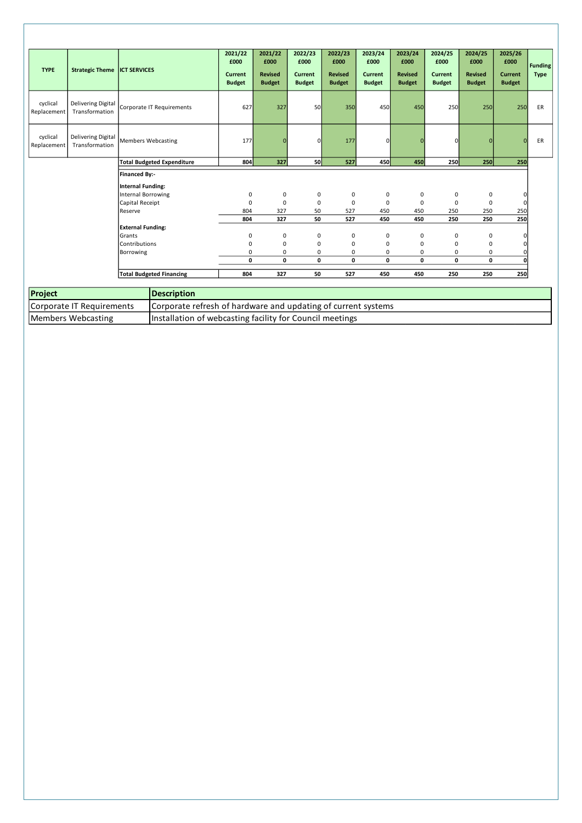| <b>TYPE</b>             | Strategic Theme ICT SERVICES         |                                                  | 2021/22<br>£000<br>Current<br><b>Budget</b> | 2021/22<br>£000<br><b>Revised</b><br><b>Budget</b> | 2022/23<br>£000<br>Current<br><b>Budget</b> | 2022/23<br>£000<br><b>Revised</b><br><b>Budget</b> | 2023/24<br>£000<br>Current<br><b>Budget</b> | 2023/24<br>£000<br><b>Revised</b><br><b>Budget</b> | 2024/25<br>£000<br><b>Current</b><br><b>Budget</b> | 2024/25<br>£000<br><b>Revised</b><br><b>Budget</b> | 2025/26<br>£000<br><b>Current</b><br><b>Budget</b> | <b>Funding</b><br><b>Type</b> |
|-------------------------|--------------------------------------|--------------------------------------------------|---------------------------------------------|----------------------------------------------------|---------------------------------------------|----------------------------------------------------|---------------------------------------------|----------------------------------------------------|----------------------------------------------------|----------------------------------------------------|----------------------------------------------------|-------------------------------|
| cyclical<br>Replacement | Delivering Digital<br>Transformation | Corporate IT Requirements                        | 627                                         | 327                                                | <b>50</b>                                   | 350                                                | 450                                         | 450                                                | 250                                                | 250                                                | 250                                                | ER                            |
| cyclical<br>Replacement | Delivering Digital<br>Transformation | <b>Members Webcasting</b>                        | 177                                         | $\mathbf{0}$                                       | $\Omega$                                    | 177                                                | $\Omega$                                    | $\Omega$                                           | $\Omega$                                           | $\Omega$                                           | $\mathbf{0}$                                       | ER                            |
|                         |                                      | <b>Total Budgeted Expenditure</b>                | 804                                         | 327                                                | <b>50</b>                                   | 527                                                | <b>450</b>                                  | 450                                                | 250                                                | 250                                                | 250                                                |                               |
|                         |                                      | <b>Financed By:-</b><br><b>Internal Funding:</b> |                                             |                                                    |                                             |                                                    |                                             |                                                    |                                                    |                                                    |                                                    |                               |
|                         |                                      | <b>Internal Borrowing</b>                        | 0                                           | $\pmb{0}$                                          | 0                                           | 0                                                  | 0                                           | 0                                                  | 0                                                  | 0                                                  | $\mathbf 0$                                        |                               |
|                         |                                      | Capital Receipt                                  | $\mathbf 0$                                 | $\mathbf 0$                                        | $\mathbf 0$                                 | 0                                                  | $\mathbf 0$                                 | $\mathbf 0$                                        | 0                                                  | $\mathbf 0$                                        | $\mathbf 0$                                        |                               |
|                         |                                      | Reserve                                          | 804                                         | 327                                                | 50                                          | 527                                                | 450                                         | 450                                                | 250                                                | 250                                                | 250                                                |                               |
|                         |                                      |                                                  | 804                                         | 327                                                | 50                                          | 527                                                | 450                                         | 450                                                | 250                                                | 250                                                | 250                                                |                               |
|                         |                                      | <b>External Funding:</b>                         |                                             |                                                    |                                             |                                                    |                                             |                                                    |                                                    |                                                    |                                                    |                               |
|                         |                                      | Grants                                           | 0                                           | 0                                                  | 0                                           | 0                                                  | $\mathbf 0$                                 | 0                                                  | 0                                                  | 0                                                  | $\mathbf 0$                                        |                               |
|                         |                                      | Contributions                                    | $\mathbf 0$                                 | 0                                                  | $\mathbf 0$                                 | 0                                                  | $\mathbf 0$                                 | 0                                                  | 0                                                  | 0                                                  | 0                                                  |                               |
|                         |                                      | Borrowing                                        | 0                                           | 0                                                  | 0                                           | 0                                                  | 0                                           | 0                                                  | 0                                                  | 0                                                  | 0                                                  |                               |
|                         |                                      |                                                  | 0                                           | 0                                                  | 0                                           | 0                                                  | 0                                           | 0                                                  | 0                                                  | 0                                                  | $\mathbf{0}$                                       |                               |
|                         |                                      | <b>Total Budgeted Financing</b>                  | 804                                         | 327                                                | 50                                          | 527                                                | 450                                         | 450                                                | 250                                                | 250                                                | 250                                                |                               |

| Project                   | <b>IDescription</b>                                           |
|---------------------------|---------------------------------------------------------------|
| Corporate IT Requirements | Corporate refresh of hardware and updating of current systems |
| Members Webcasting        | Installation of webcasting facility for Council meetings      |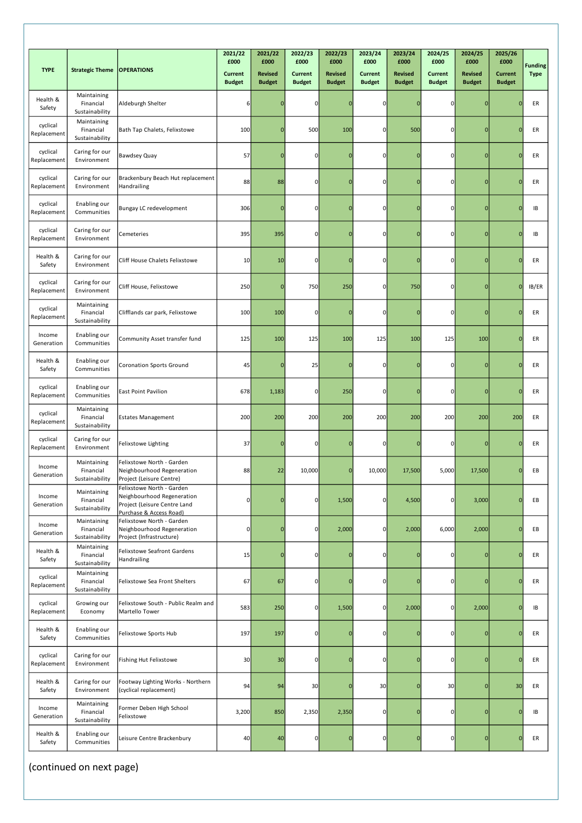|                         |                                            |                                                                                                                    | 2021/22<br>£000          | 2021/22<br>£000                 | 2022/23<br>£000                 | 2022/23<br>£000                 | 2023/24<br>£000                 | 2023/24<br>£000                 | 2024/25<br>£000                 | 2024/25<br>£000                 | 2025/26<br>£000                 |                               |
|-------------------------|--------------------------------------------|--------------------------------------------------------------------------------------------------------------------|--------------------------|---------------------------------|---------------------------------|---------------------------------|---------------------------------|---------------------------------|---------------------------------|---------------------------------|---------------------------------|-------------------------------|
| <b>TYPE</b>             | <b>Strategic Theme</b>                     | <b>OPERATIONS</b>                                                                                                  | Current<br><b>Budget</b> | <b>Revised</b><br><b>Budget</b> | <b>Current</b><br><b>Budget</b> | <b>Revised</b><br><b>Budget</b> | <b>Current</b><br><b>Budget</b> | <b>Revised</b><br><b>Budget</b> | <b>Current</b><br><b>Budget</b> | <b>Revised</b><br><b>Budget</b> | <b>Current</b><br><b>Budget</b> | <b>Funding</b><br><b>Type</b> |
| Health &<br>Safety      | Maintaining<br>Financial<br>Sustainability | Aldeburgh Shelter                                                                                                  | 6                        | $\mathbf 0$                     | $\mathbf 0$                     | $\mathbf{0}$                    | 0                               |                                 | 0                               | $\mathbf 0$                     | $\mathbf 0$                     | ER                            |
| cyclical<br>Replacement | Maintaining<br>Financial<br>Sustainability | Bath Tap Chalets, Felixstowe                                                                                       | 100                      | $\mathbf 0$                     | 500                             | 100                             | 0                               | 500                             | 0                               | $\mathbf 0$                     | $\mathbf 0$                     | ER                            |
| cyclical<br>Replacement | Caring for our<br>Environment              | Bawdsey Quay                                                                                                       | 57                       | $\pmb{0}$                       | $\overline{0}$                  | $\mathbf 0$                     | 0                               | 0                               | $\mathbf 0$                     | $\mathbf 0$                     | $\mathbf 0$                     | ER                            |
| cyclical<br>Replacement | Caring for our<br>Environment              | Brackenbury Beach Hut replacement<br>Handrailing                                                                   | 88                       | 88                              | $\circ$                         | $\mathbf 0$                     | 0                               | $\Omega$                        | $\mathbf 0$                     | $\mathbf 0$                     | $\overline{0}$                  | ER                            |
| cyclical<br>Replacement | Enabling our<br>Communities                | Bungay LC redevelopment                                                                                            | 306                      | $\pmb{0}$                       | 0                               | $\mathbf 0$                     | 0                               | $\Omega$                        | $\mathbf 0$                     | $\mathbf 0$                     | $\mathbf{0}$                    | IB                            |
| cyclical<br>Replacement | Caring for our<br>Environment              | Cemeteries                                                                                                         | 395                      | 395                             | $\mathbf 0$                     | $\mathbf 0$                     | 0                               | $\Omega$                        | 0                               | $\bf{0}$                        | $\mathbf{0}$                    | IB                            |
| Health &<br>Safety      | Caring for our<br>Environment              | Cliff House Chalets Felixstowe                                                                                     | 10                       | 10                              | 0                               | $\mathbf{0}$                    | 0                               |                                 | 0                               | $\bf{0}$                        | $\mathbf 0$                     | ER                            |
| cyclical<br>Replacement | Caring for our<br>Environment              | Cliff House, Felixstowe                                                                                            | 250                      | $\mathbf 0$                     | 750                             | 250                             | 0                               | 750                             | 0                               | $\mathbf 0$                     | $\mathbf{O}$                    | IB/ER                         |
| cyclical<br>Replacement | Maintaining<br>Financial<br>Sustainability | Clifflands car park, Felixstowe                                                                                    | 100                      | 100                             | $\mathbf 0$                     | $\mathbf 0$                     | 0                               |                                 | $\mathbf 0$                     | $\bf{0}$                        | $\Omega$                        | ER                            |
| Income<br>Generation    | Enabling our<br>Communities                | Community Asset transfer fund                                                                                      | 125                      | 100                             | 125                             | 100                             | 125                             | 100                             | 125                             | 100                             | $\mathbf 0$                     | ER                            |
| Health &<br>Safety      | Enabling our<br>Communities                | <b>Coronation Sports Ground</b>                                                                                    | 45                       | $\pmb{0}$                       | 25                              | $\mathbf{0}$                    | 0                               |                                 | 0                               | $\mathbf 0$                     | $\Omega$                        | ER                            |
| cyclical<br>Replacement | Enabling our<br>Communities                | <b>East Point Pavilion</b>                                                                                         | 678                      | 1,183                           | $\mathbf 0$                     | 250                             | 0                               | $\Omega$                        | $\mathbf 0$                     | $\mathbf 0$                     | $\mathbf{0}$                    | ER                            |
| cyclical<br>Replacement | Maintaining<br>Financial<br>Sustainability | <b>Estates Management</b>                                                                                          | 200                      | 200                             | 200                             | 200                             | 200                             | 200                             | 200                             | 200                             | 200                             | ER                            |
| cyclical<br>Replacement | Caring for our<br>Environment              | Felixstowe Lighting                                                                                                | 37                       | $\mathbf 0$                     | 0                               | $\mathbf 0$                     | 0                               |                                 | 0                               | $\mathbf 0$                     | $\mathbf 0$                     | ER                            |
| Income<br>Generation    | Maintaining<br>Financial<br>Sustainability | Felixstowe North - Garden<br>Neighbourhood Regeneration<br>Project (Leisure Centre)                                | 88                       | 22                              | 10,000                          | $\mathbf 0$                     | 10,000                          | 17,500                          | 5,000                           | 17,500                          | $\mathbf{0}$                    | EВ                            |
| Income<br>Generation    | Maintaining<br>Financial<br>Sustainability | Felixstowe North - Garden<br>Neighbourhood Regeneration<br>Project (Leisure Centre Land<br>Purchase & Access Road) | $\pmb{0}$                | $\mathbf 0$                     | $\circ$                         | 1,500                           | 0                               | 4,500                           | $\mathbf 0$                     | 3,000                           | $\Omega$                        | EB                            |
| Income<br>Generation    | Maintaining<br>Financial<br>Sustainability | Felixstowe North - Garden<br>Neighbourhood Regeneration<br>Project (Infrastructure)                                | $\overline{0}$           | $\mathbf 0$                     | οI                              | 2,000                           | 0                               | 2,000                           | 6,000                           | 2,000                           | $\overline{0}$                  | EВ                            |
| Health &<br>Safety      | Maintaining<br>Financial<br>Sustainability | Felixstowe Seafront Gardens<br>Handrailing                                                                         | 15                       | $\pmb{0}$                       | $\circ$                         | $\mathbf{0}$                    | 0                               |                                 | 0                               | $\mathbf 0$                     | $\mathbf 0$                     | ER                            |
| cyclical<br>Replacement | Maintaining<br>Financial<br>Sustainability | Felixstowe Sea Front Shelters                                                                                      | 67                       | 67                              | $\overline{0}$                  | $\mathbf 0$                     | 0                               |                                 | 0                               | $\mathbf 0$                     | $\overline{0}$                  | ER                            |
| cyclical<br>Replacement | Growing our<br>Economy                     | Felixstowe South - Public Realm and<br>Martello Tower                                                              | 583                      | 250                             | $\circ$                         | 1,500                           | 0                               | 2,000                           | $\mathbf 0$                     | 2,000                           | $\mathbf{0}$                    | IB                            |
| Health &<br>Safety      | Enabling our<br>Communities                | Felixstowe Sports Hub                                                                                              | 197                      | 197                             | 0                               | $\mathbf 0$                     | 0                               |                                 | $\mathbf 0$                     | $\mathbf 0$                     | $\mathbf{0}$                    | ER                            |
| cyclical<br>Replacement | Caring for our<br>Environment              | Fishing Hut Felixstowe                                                                                             | 30                       | 30                              | $\circ$                         | $\mathbf 0$                     | 0                               | $\Omega$                        | $\mathbf 0$                     | $\mathbf 0$                     | $\mathbf{0}$                    | ER                            |
| Health &<br>Safety      | Caring for our<br>Environment              | Footway Lighting Works - Northern<br>(cyclical replacement)                                                        | 94                       | 94                              | 30                              | $\mathbf 0$                     | 30                              | $\mathbf 0$                     | 30                              | $\mathbf 0$                     | 30                              | ER                            |
| Income<br>Generation    | Maintaining<br>Financial<br>Sustainability | Former Deben High School<br>Felixstowe                                                                             | 3,200                    | 850                             | 2,350                           | 2,350                           | 0                               |                                 | 0                               | $\mathbf 0$                     | $\overline{0}$                  | IB                            |
| Health &<br>Safety      | Enabling our<br>Communities                | Leisure Centre Brackenbury                                                                                         | 40                       | 40                              | $\overline{0}$                  | $\mathbf 0$                     | 0                               | $\mathbf 0$                     | 0                               | $\overline{0}$                  | $\mathbf{O}$                    | ER                            |

(continued on next page)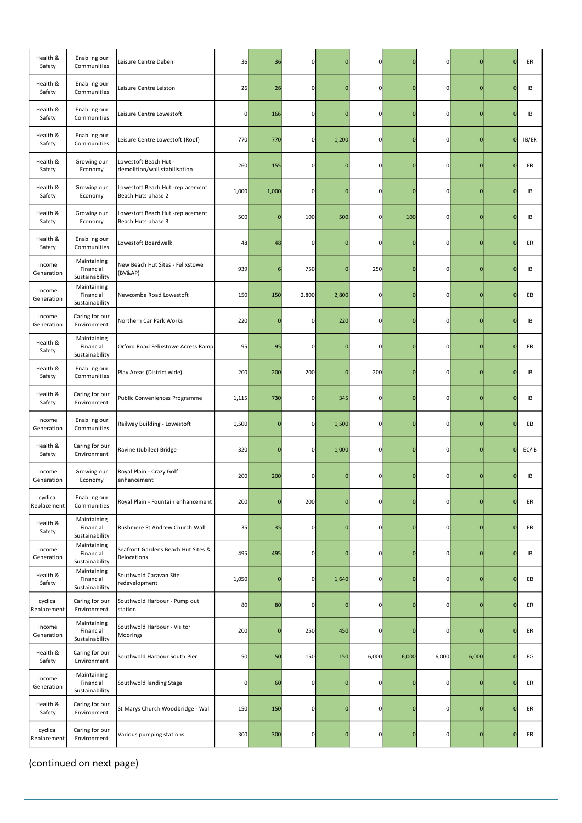| Health &<br>Safety      | Enabling our<br>Communities                | Leisure Centre Deben                                   | 36          | 36          | 0              | $\overline{0}$ | $\mathbf 0$ | $\Omega$       | $\mathbf 0$    | $\mathbf 0$    | $\mathbf 0$  | ER    |
|-------------------------|--------------------------------------------|--------------------------------------------------------|-------------|-------------|----------------|----------------|-------------|----------------|----------------|----------------|--------------|-------|
| Health &<br>Safety      | Enabling our<br>Communities                | Leisure Centre Leiston                                 | 26          | 26          | $\mathbf 0$    | $\overline{0}$ | $\mathbf 0$ | $\epsilon$     | $\pmb{0}$      | $\overline{0}$ | $\mathbf{0}$ | IB    |
| Health &<br>Safety      | Enabling our<br>Communities                | Leisure Centre Lowestoft                               | $\mathbf 0$ | 166         | 0              | $\mathbf 0$    | 0           | $\Omega$       | $\mathbf 0$    | 0              | $\mathbf{0}$ | IB    |
| Health &<br>Safety      | Enabling our<br>Communities                | Leisure Centre Lowestoft (Roof)                        | 770         | 770         | 0              | 1,200          | $\mathbf 0$ | $\mathbf 0$    | $\mathbf 0$    | $\overline{0}$ | $\mathbf 0$  | IB/ER |
| Health &<br>Safety      | Growing our<br>Economy                     | Lowestoft Beach Hut -<br>demolition/wall stabilisation | 260         | 155         | $\mathbf 0$    | $\overline{0}$ | 0           | $\Omega$       | $\pmb{0}$      | $\mathbf 0$    | $\mathbf{0}$ | ER    |
| Health &<br>Safety      | Growing our<br>Economy                     | Lowestoft Beach Hut -replacement<br>Beach Huts phase 2 | 1,000       | 1,000       | 0              | $\mathbf 0$    | $\mathbf 0$ | $\Omega$       | $\mathbf 0$    | $\mathbf{0}$   | $\mathbf{0}$ | IB    |
| Health &<br>Safety      | Growing our<br>Economy                     | Lowestoft Beach Hut -replacement<br>Beach Huts phase 3 | 500         | $\mathbf 0$ | 100            | 500            | 0           | 100            | $\mathbf 0$    | $\mathbf 0$    | $\mathbf{0}$ | IB    |
| Health &<br>Safety      | Enabling our<br>Communities                | Lowestoft Boardwalk                                    | 48          | 48          | $\mathbf 0$    | $\mathbf 0$    | $\mathbf 0$ | $\Omega$       | $\pmb{0}$      | 0              | $\mathbf{0}$ | ER    |
| Income<br>Generation    | Maintaining<br>Financial<br>Sustainability | New Beach Hut Sites - Felixstowe<br>(BV&AP)            | 939         | 6           | 750            | $\mathbf 0$    | 250         | $\Omega$       | $\mathbf 0$    | $\mathbf{0}$   | $\mathbf{0}$ | IB    |
| Income<br>Generation    | Maintaining<br>Financial<br>Sustainability | Newcombe Road Lowestoft                                | 150         | 150         | 2,800          | 2,800          | $\mathbf 0$ | $\overline{0}$ | $\mathbf 0$    | $\overline{0}$ | $\mathbf{0}$ | EB    |
| Income<br>Generation    | Caring for our<br>Environment              | Northern Car Park Works                                | 220         | $\mathbf 0$ | $\mathbf 0$    | 220            | $\mathbf 0$ | $\overline{0}$ | $\overline{0}$ | 0              | $\mathbf 0$  | IB    |
| Health &<br>Safety      | Maintaining<br>Financial<br>Sustainability | Orford Road Felixstowe Access Ramp                     | 95          | 95          | $\Omega$       | $\overline{0}$ | 0           | C              | $\mathbf 0$    | $\mathbf 0$    | $\mathbf{0}$ | ER    |
| Health &<br>Safety      | Enabling our<br>Communities                | Play Areas (District wide)                             | 200         | 200         | 200            | $\mathbf 0$    | 200         | $\overline{0}$ | $\overline{0}$ | 0              | $\mathbf{0}$ | IB    |
| Health &<br>Safety      | Caring for our<br>Environment              | Public Conveniences Programme                          | 1,115       | 730         | $\mathbf 0$    | 345            | $\mathbf 0$ | $\Omega$       | $\overline{0}$ | 0              | $\mathbf{0}$ | IB    |
| Income<br>Generation    | Enabling our<br>Communities                | Railway Building - Lowestoft                           | 1,500       | $\mathbf 0$ | $\mathbf 0$    | 1,500          | $\mathbf 0$ | $\Omega$       | $\mathbf 0$    | 0              | $\mathbf{0}$ | EB    |
| Health &<br>Safety      | Caring for our<br>Environment              | Ravine (Jubilee) Bridge                                | 320         | $\mathbf 0$ | $\mathbf 0$    | 1,000          | $\mathbf 0$ | $\mathbf 0$    | $\overline{0}$ | $\mathbf 0$    | $\mathbf{0}$ | EC/IB |
| Income<br>Generation    | Growing our<br>Economy                     | Royal Plain - Crazy Golf<br>enhancement                | 200         | 200         | 0              | $\mathbf{0}$   | 0           | $\mathbf{0}$   | $\mathbf{0}$   | 0              | $\mathbf 0$  | IB    |
| cyclical<br>Replacement | Enabling our<br>Communities                | Royal Plain - Fountain enhancement                     | 200         | $\mathbf 0$ | 200            | $\mathbf 0$    | $\circ$     | $\overline{0}$ | $\mathbf 0$    | 0              | $\mathbf{0}$ | ER    |
| Health &<br>Safety      | Maintaining<br>Financial<br>Sustainability | Rushmere St Andrew Church Wall                         | 35          | 35          | $\mathbf 0$    | $\mathbf 0$    | $\mathbf 0$ | $\Omega$       | $\overline{0}$ | 0              | $\mathbf{0}$ | ER    |
| Income<br>Generation    | Maintaining<br>Financial<br>Sustainability | Seafront Gardens Beach Hut Sites &<br>Relocations      | 495         | 495         | $\mathbf 0$    | $\bf{0}$       | $\mathbf 0$ | $\overline{0}$ | $\overline{0}$ | 0              | $\mathbf 0$  | IB    |
| Health &<br>Safety      | Maintaining<br>Financial<br>Sustainability | Southwold Caravan Site<br>redevelopment                | 1,050       | $\mathbf 0$ | $\mathbf 0$    | 1,640          | $\mathbf 0$ | $\overline{0}$ | $\overline{0}$ | 0              | $\mathbf{0}$ | EB    |
| cyclical<br>Replacement | Caring for our<br>Environment              | Southwold Harbour - Pump out<br>station                | 80          | 80          | $\mathbf 0$    | $\mathbf 0$    | $\mathbf 0$ | $\Omega$       | $\overline{0}$ | $\overline{0}$ | $\pmb{0}$    | ER    |
| Income<br>Generation    | Maintaining<br>Financial<br>Sustainability | Southwold Harbour - Visitor<br>Moorings                | 200         | $\mathbf 0$ | 250            | 450            | $\mathbf 0$ | $\overline{0}$ | $\overline{0}$ | $\mathbf 0$    | $\mathbf 0$  | ER    |
| Health &<br>Safety      | Caring for our<br>Environment              | Southwold Harbour South Pier                           | 50          | 50          | 150            | 150            | 6,000       | 6,000          | 6,000          | 6,000          | $\mathbf{0}$ | EG    |
| Income<br>Generation    | Maintaining<br>Financial<br>Sustainability | Southwold landing Stage                                | $\pmb{0}$   | 60          | 0              | $\bf{0}$       | $\mathbf 0$ | $\Omega$       | $\overline{0}$ | 0              | $\mathbf{0}$ | ER    |
| Health &<br>Safety      | Caring for our<br>Environment              | St Marys Church Woodbridge - Wall                      | 150         | 150         | 0              | $\mathbf 0$    | $\mathbf 0$ | $\mathbf 0$    | $\overline{0}$ | $\mathbf 0$    | $\mathbf{0}$ | ER    |
| cyclical<br>Replacement | Caring for our<br>Environment              | Various pumping stations                               | 300         | 300         | $\overline{0}$ | $\mathbf 0$    | 0           | $\overline{0}$ | $\overline{0}$ | 0              | $\mathbf 0$  | ER    |

(continued on next page)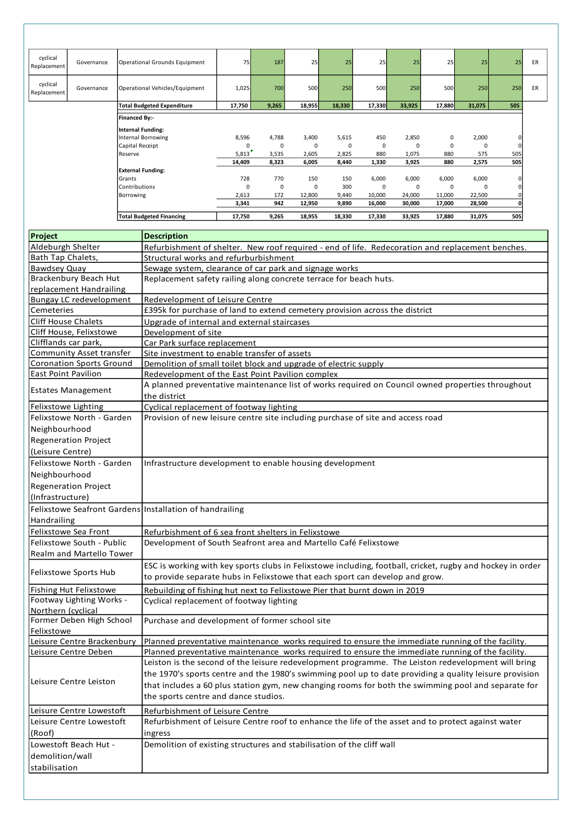|                         |            | <b>Total Budgeted Financing</b>         | 17,750      | 9,265 | 18,955 | 18,330 | 17,330 | 33,925 | 17,880   | 31,075      | 505 |
|-------------------------|------------|-----------------------------------------|-------------|-------|--------|--------|--------|--------|----------|-------------|-----|
|                         |            |                                         | 3,341       | 942   | 12,950 | 9,890  | 16,000 | 30,000 | 17,000   | 28,500      | 0   |
|                         |            | Borrowing                               | 2,613       | 172   | 12,800 | 9,440  | 10,000 | 24,000 | 11,000   | 22,500      | 0   |
|                         |            | lContributions                          | $\mathbf 0$ | 0     | 0      | 300    | 0      | 0      | 0        | $\mathbf 0$ | 0   |
|                         |            | Grants                                  | 728         | 770   | 150    | 150    | 6,000  | 6,000  | 6,000    | 6,000       | 0   |
|                         |            | <b>External Funding:</b>                |             |       |        |        |        |        |          |             |     |
|                         |            |                                         | 14,409      | 8,323 | 6,005  | 8,440  | 1,330  | 3,925  | 880      | 2,575       | 505 |
|                         |            | Reserve                                 | 5,813       | 3,535 | 2,605  | 2,825  | 880    | 1,075  | 880      | 575         | 505 |
|                         |            | Capital Receipt                         | $\Omega$    | 0     | 0      | 0      | 0      | 0      | $\Omega$ | 0           | 0   |
|                         |            | Internal Funding:<br>Internal Borrowing | 8,596       | 4,788 | 3,400  | 5,615  | 450    | 2,850  | 0        | 2,000       | 0   |
|                         |            | Financed By:-                           |             |       |        |        |        |        |          |             |     |
|                         |            |                                         |             |       |        |        |        |        |          |             |     |
|                         |            | <b>Total Budgeted Expenditure</b>       | 17,750      | 9,265 | 18,955 | 18,330 | 17,330 | 33,925 | 17,880   | 31,075      | 505 |
| cyclical<br>Replacement | Governance | Operational Vehicles/Equipment          | 1,025       | 700   | 500    | 250    | 500    | 250    | 500      | 250         | 250 |
| cyclical<br>Replacement | Governance | Operational Grounds Equipment           | 75          | 187   | 25     | 25     | 25     | 25     | 25       | 25          | 25  |

| <b>Project</b>                                          | <b>Description</b>                                                                                                                                                                                     |
|---------------------------------------------------------|--------------------------------------------------------------------------------------------------------------------------------------------------------------------------------------------------------|
| Aldeburgh Shelter                                       | Refurbishment of shelter. New roof required - end of life. Redecoration and replacement benches.                                                                                                       |
| Bath Tap Chalets,                                       | Structural works and refurburbishment                                                                                                                                                                  |
| <b>Bawdsey Quay</b>                                     | Sewage system, clearance of car park and signage works                                                                                                                                                 |
| Brackenbury Beach Hut                                   | Replacement safety railing along concrete terrace for beach huts.                                                                                                                                      |
| replacement Handrailing                                 |                                                                                                                                                                                                        |
| <b>Bungay LC redevelopment</b>                          | Redevelopment of Leisure Centre                                                                                                                                                                        |
| Cemeteries                                              | £395k for purchase of land to extend cemetery provision across the district                                                                                                                            |
| <b>Cliff House Chalets</b>                              | Upgrade of internal and external staircases                                                                                                                                                            |
| Cliff House, Felixstowe                                 | Development of site                                                                                                                                                                                    |
| Clifflands car park,                                    | Car Park surface replacement                                                                                                                                                                           |
| Community Asset transfer                                | Site investment to enable transfer of assets                                                                                                                                                           |
| <b>Coronation Sports Ground</b>                         | Demolition of small toilet block and upgrade of electric supply                                                                                                                                        |
| <b>East Point Pavilion</b>                              | Redevelopment of the East Point Pavilion complex                                                                                                                                                       |
| <b>Estates Management</b>                               | A planned preventative maintenance list of works required on Council owned properties throughout<br>the district                                                                                       |
| Felixstowe Lighting                                     | Cyclical replacement of footway lighting                                                                                                                                                               |
| Felixstowe North - Garden                               | Provision of new leisure centre site including purchase of site and access road                                                                                                                        |
| Neighbourhood                                           |                                                                                                                                                                                                        |
| <b>Regeneration Project</b>                             |                                                                                                                                                                                                        |
| (Leisure Centre)                                        |                                                                                                                                                                                                        |
|                                                         |                                                                                                                                                                                                        |
| Felixstowe North - Garden                               | Infrastructure development to enable housing development                                                                                                                                               |
| Neighbourhood                                           |                                                                                                                                                                                                        |
| <b>Regeneration Project</b>                             |                                                                                                                                                                                                        |
| (Infrastructure)                                        |                                                                                                                                                                                                        |
|                                                         |                                                                                                                                                                                                        |
| Felixstowe Seafront Gardens Installation of handrailing |                                                                                                                                                                                                        |
| Handrailing                                             |                                                                                                                                                                                                        |
| Felixstowe Sea Front                                    | Refurbishment of 6 sea front shelters in Felixstowe                                                                                                                                                    |
| Felixstowe South - Public                               | Development of South Seafront area and Martello Café Felixstowe                                                                                                                                        |
| Realm and Martello Tower                                |                                                                                                                                                                                                        |
|                                                         |                                                                                                                                                                                                        |
| Felixstowe Sports Hub                                   | ESC is working with key sports clubs in Felixstowe including, football, cricket, rugby and hockey in order<br>to provide separate hubs in Felixstowe that each sport can develop and grow.             |
|                                                         |                                                                                                                                                                                                        |
| <b>Fishing Hut Felixstowe</b>                           | Rebuilding of fishing hut next to Felixstowe Pier that burnt down in 2019                                                                                                                              |
| Footway Lighting Works -                                | Cyclical replacement of footway lighting                                                                                                                                                               |
| Northern (cyclical                                      |                                                                                                                                                                                                        |
| Former Deben High School<br>Felixstowe                  | Purchase and development of former school site                                                                                                                                                         |
| Leisure Centre Brackenbury                              | Planned preventative maintenance works required to ensure the immediate running of the facility.                                                                                                       |
| Leisure Centre Deben                                    |                                                                                                                                                                                                        |
|                                                         | Planned preventative maintenance works required to ensure the immediate running of the facility.<br>Leiston is the second of the leisure redevelopment programme. The Leiston redevelopment will bring |
|                                                         |                                                                                                                                                                                                        |
| Leisure Centre Leiston                                  | the 1970's sports centre and the 1980's swimming pool up to date providing a quality leisure provision                                                                                                 |
|                                                         | that includes a 60 plus station gym, new changing rooms for both the swimming pool and separate for                                                                                                    |
|                                                         | the sports centre and dance studios.                                                                                                                                                                   |
| Leisure Centre Lowestoft                                | Refurbishment of Leisure Centre                                                                                                                                                                        |
| Leisure Centre Lowestoft                                | Refurbishment of Leisure Centre roof to enhance the life of the asset and to protect against water                                                                                                     |
| (Roof)                                                  | ingress                                                                                                                                                                                                |
| Lowestoft Beach Hut -                                   | Demolition of existing structures and stabilisation of the cliff wall                                                                                                                                  |
| demolition/wall<br>stabilisation                        |                                                                                                                                                                                                        |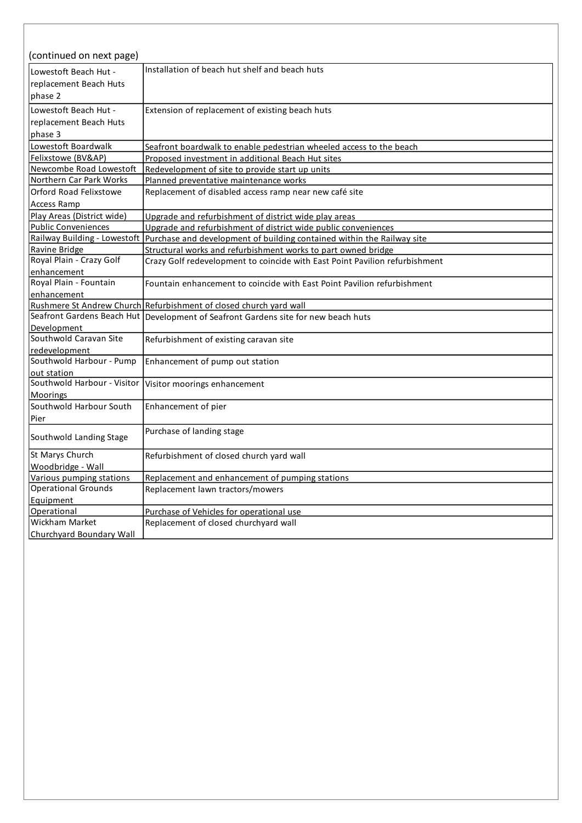| (continued on next page)        |                                                                                                     |
|---------------------------------|-----------------------------------------------------------------------------------------------------|
| Lowestoft Beach Hut -           | Installation of beach hut shelf and beach huts                                                      |
| replacement Beach Huts          |                                                                                                     |
| phase 2                         |                                                                                                     |
|                                 |                                                                                                     |
| Lowestoft Beach Hut -           | Extension of replacement of existing beach huts                                                     |
| replacement Beach Huts          |                                                                                                     |
| phase 3                         |                                                                                                     |
| Lowestoft Boardwalk             | Seafront boardwalk to enable pedestrian wheeled access to the beach                                 |
| Felixstowe (BV&AP)              | Proposed investment in additional Beach Hut sites                                                   |
| Newcombe Road Lowestoft         | Redevelopment of site to provide start up units                                                     |
| Northern Car Park Works         | Planned preventative maintenance works                                                              |
| Orford Road Felixstowe          | Replacement of disabled access ramp near new café site                                              |
| Access Ramp                     |                                                                                                     |
| Play Areas (District wide)      | Upgrade and refurbishment of district wide play areas                                               |
| <b>Public Conveniences</b>      | Upgrade and refurbishment of district wide public conveniences                                      |
|                                 | Railway Building - Lowestoft Purchase and development of building contained within the Railway site |
| Ravine Bridge                   | Structural works and refurbishment works to part owned bridge                                       |
| Royal Plain - Crazy Golf        | Crazy Golf redevelopment to coincide with East Point Pavilion refurbishment                         |
| enhancement                     |                                                                                                     |
| Royal Plain - Fountain          | Fountain enhancement to coincide with East Point Pavilion refurbishment                             |
| enhancement                     |                                                                                                     |
|                                 | Rushmere St Andrew Church Refurbishment of closed church yard wall                                  |
|                                 | Seafront Gardens Beach Hut   Development of Seafront Gardens site for new beach huts                |
| Development                     |                                                                                                     |
| Southwold Caravan Site          | Refurbishment of existing caravan site                                                              |
| redevelopment                   |                                                                                                     |
| Southwold Harbour - Pump        | Enhancement of pump out station                                                                     |
| out station                     |                                                                                                     |
| Southwold Harbour - Visitor     | Visitor moorings enhancement                                                                        |
| <b>Moorings</b>                 |                                                                                                     |
| Southwold Harbour South         | Enhancement of pier                                                                                 |
| Pier                            |                                                                                                     |
| Southwold Landing Stage         | Purchase of landing stage                                                                           |
| St Marys Church                 | Refurbishment of closed church yard wall                                                            |
| Woodbridge - Wall               |                                                                                                     |
| Various pumping stations        | Replacement and enhancement of pumping stations                                                     |
| Operational Grounds             | Replacement lawn tractors/mowers                                                                    |
| Equipment                       |                                                                                                     |
| Operational                     | Purchase of Vehicles for operational use                                                            |
| <b>Wickham Market</b>           | Replacement of closed churchyard wall                                                               |
| <b>Churchyard Boundary Wall</b> |                                                                                                     |
|                                 |                                                                                                     |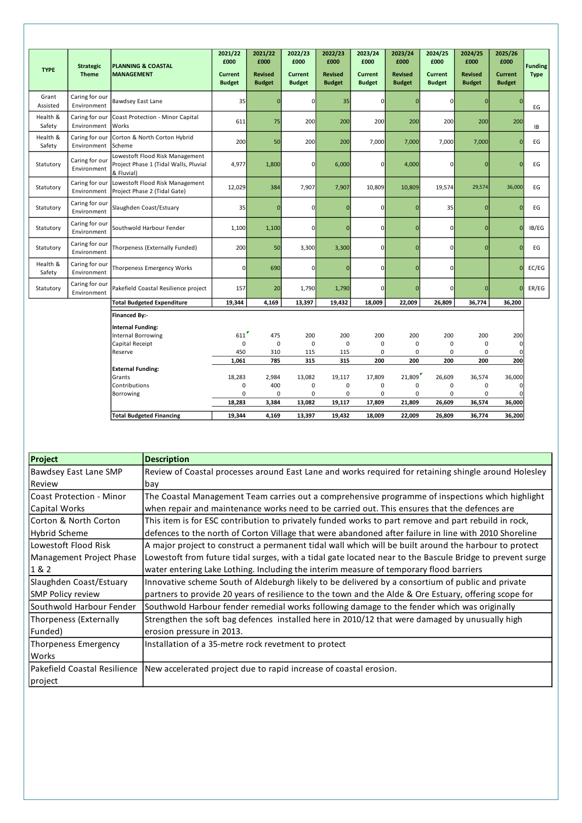|                    |                                  |                                                                                        | 2021/22<br>£000          | 2021/22<br>£000                 | 2022/23<br>£000                 | 2022/23<br>£000                 | 2023/24<br>£000                 | 2023/24<br>£000                 | 2024/25<br>£000                 | 2024/25<br>£000                 | 2025/26<br>£000                 |                               |
|--------------------|----------------------------------|----------------------------------------------------------------------------------------|--------------------------|---------------------------------|---------------------------------|---------------------------------|---------------------------------|---------------------------------|---------------------------------|---------------------------------|---------------------------------|-------------------------------|
| <b>TYPE</b>        | <b>Strategic</b><br><b>Theme</b> | <b>PLANNING &amp; COASTAL</b><br><b>MANAGEMENT</b>                                     | Current<br><b>Budget</b> | <b>Revised</b><br><b>Budget</b> | <b>Current</b><br><b>Budget</b> | <b>Revised</b><br><b>Budget</b> | <b>Current</b><br><b>Budget</b> | <b>Revised</b><br><b>Budget</b> | <b>Current</b><br><b>Budget</b> | <b>Revised</b><br><b>Budget</b> | <b>Current</b><br><b>Budget</b> | <b>Funding</b><br><b>Type</b> |
| Grant<br>Assisted  | Caring for our<br>Environment    | <b>Bawdsey East Lane</b>                                                               | 35                       | $\Omega$                        | $\mathbf 0$                     | 35                              | $\mathbf 0$                     | $\mathbf{0}$                    | 0                               | $\bf{0}$                        | $\Omega$                        | ЕG                            |
| Health &<br>Safety | Caring for our<br>Environment    | Coast Protection - Minor Capital<br>Works                                              | 611                      | 75                              | 200                             | 200                             | 200                             | 200                             | 200                             | 200                             | 200                             | IB                            |
| Health &<br>Safety | Caring for our<br>Environment    | Corton & North Corton Hybrid<br>Scheme                                                 | 200                      | 50                              | 200                             | 200                             | 7,000                           | 7,000                           | 7,000                           | 7,000                           | $\Omega$                        | EG                            |
| Statutory          | Caring for our<br>Environment    | Lowestoft Flood Risk Management<br>Project Phase 1 (Tidal Walls, Pluvial<br>& Fluvial) | 4,977                    | 1,800                           | $\mathbf 0$                     | 6,000                           | $\mathbf{0}$                    | 4,000                           | 0                               | $\overline{0}$                  | $\Omega$                        | EG                            |
| Statutory          | Caring for our<br>Environment    | Lowestoft Flood Risk Management<br>Project Phase 2 (Tidal Gate)                        | 12,029                   | 384                             | 7,907                           | 7,907                           | 10,809                          | 10,809                          | 19,574                          | 29,574                          | 36,000                          | EG                            |
| Statutory          | Caring for our<br>Environment    | Slaughden Coast/Estuary                                                                | 35                       | $\mathbf{0}$                    | $\mathbf 0$                     | $\overline{0}$                  | $\mathbf 0$                     | $\Omega$                        | 35                              | $\overline{0}$                  | $\overline{0}$                  | EG                            |
| Statutory          | Caring for our<br>Environment    | Southwold Harbour Fender                                                               | 1,100                    | 1,100                           | $\mathbf 0$                     | $\mathbf{0}$                    | $\overline{0}$                  | $\mathbf{0}$                    | 0                               | $\mathbf{0}$                    | $\overline{0}$                  | IB/EG                         |
| Statutory          | Caring for our<br>Environment    | Thorpeness (Externally Funded)                                                         | 200                      | 50                              | 3,300                           | 3,300                           | $\overline{0}$                  | $\overline{0}$                  | $\mathbf{0}$                    | $\overline{0}$                  | $\Omega$                        | EG                            |
| Health &<br>Safety | Caring for our<br>Environment    | Thorpeness Emergency Works                                                             | 0                        | 690                             | $\mathbf 0$                     | $\overline{0}$                  | $\mathbf 0$                     | $\mathbf{0}$                    | 0                               |                                 | $\overline{0}$                  | EC/EG                         |
| Statutory          | Caring for our<br>Environment    | Pakefield Coastal Resilience project                                                   | 157                      | 20                              | 1,790                           | 1,790                           | $\mathbf 0$                     | $\overline{0}$                  | $\mathbf{0}$                    | $\mathbf{0}$                    | $\Omega$                        | ER/EG                         |
|                    |                                  | <b>Total Budgeted Expenditure</b>                                                      | 19,344                   | 4,169                           | 13,397                          | 19,432                          | 18,009                          | 22,009                          | 26,809                          | 36,774                          | 36,200                          |                               |
|                    |                                  | <b>Financed By:-</b>                                                                   |                          |                                 |                                 |                                 |                                 |                                 |                                 |                                 |                                 |                               |
|                    |                                  | <b>Internal Funding:</b>                                                               |                          |                                 |                                 |                                 |                                 |                                 |                                 |                                 |                                 |                               |
|                    |                                  | Internal Borrowing                                                                     | 611                      | 475                             | 200                             | 200                             | 200                             | 200                             | 200                             | 200                             | 200                             |                               |
|                    |                                  | Capital Receipt                                                                        | 0                        | $\mathbf 0$                     | $\mathbf 0$                     | $\mathbf 0$                     | $\mathbf 0$                     | 0                               | 0                               | 0                               | $\mathbf 0$                     |                               |
|                    |                                  | Reserve                                                                                | 450                      | 310                             | 115                             | 115                             | $\mathbf 0$                     | $\mathbf 0$                     | 0                               | $\pmb{0}$                       | $\mathbf 0$                     |                               |
|                    |                                  |                                                                                        | 1,061                    | 785                             | 315                             | 315                             | 200                             | 200                             | 200                             | 200                             | 200                             |                               |
|                    |                                  | <b>External Funding:</b>                                                               |                          |                                 |                                 |                                 |                                 |                                 |                                 |                                 |                                 |                               |
|                    |                                  | Grants                                                                                 | 18,283                   | 2,984                           | 13,082                          | 19,117                          | 17,809                          | 21,809                          | 26,609                          | 36,574                          | 36,000                          |                               |
|                    |                                  | Contributions                                                                          | 0                        | 400                             | 0                               | $\mathbf 0$                     | 0                               | 0                               | 0                               | $\mathbf 0$                     | $\Omega$                        |                               |
|                    |                                  | Borrowing                                                                              | 0<br>18,283              | 0<br>3,384                      | 0<br>13,082                     | 0<br>19,117                     | 0<br>17,809                     | $\mathbf 0$<br>21,809           | 0<br>26,609                     | 0<br>36,574                     | $\Omega$<br>36,000              |                               |
|                    |                                  |                                                                                        |                          |                                 |                                 |                                 |                                 |                                 |                                 |                                 |                                 |                               |
|                    |                                  | <b>Total Budgeted Financing</b>                                                        | 19,344                   | 4.169                           | 13,397                          | 19,432                          | 18,009                          | 22,009                          | 26,809                          | 36,774                          | 36,200                          |                               |

| Project                     | <b>Description</b>                                                                                        |
|-----------------------------|-----------------------------------------------------------------------------------------------------------|
| Bawdsey East Lane SMP       | Review of Coastal processes around East Lane and works required for retaining shingle around Holesley     |
| Review                      | bay                                                                                                       |
| Coast Protection - Minor    | The Coastal Management Team carries out a comprehensive programme of inspections which highlight          |
| Capital Works               | when repair and maintenance works need to be carried out. This ensures that the defences are              |
| Corton & North Corton       | This item is for ESC contribution to privately funded works to part remove and part rebuild in rock,      |
| <b>Hybrid Scheme</b>        | defences to the north of Corton Village that were abandoned after failure in line with 2010 Shoreline     |
| Lowestoft Flood Risk        | A major project to construct a permanent tidal wall which will be built around the harbour to protect     |
| Management Project Phase    | Lowestoft from future tidal surges, with a tidal gate located near to the Bascule Bridge to prevent surge |
| 1&2                         | water entering Lake Lothing. Including the interim measure of temporary flood barriers                    |
| Slaughden Coast/Estuary     | Innovative scheme South of Aldeburgh likely to be delivered by a consortium of public and private         |
| <b>SMP Policy review</b>    | partners to provide 20 years of resilience to the town and the Alde & Ore Estuary, offering scope for     |
| Southwold Harbour Fender    | Southwold Harbour fender remedial works following damage to the fender which was originally               |
| Thorpeness (Externally      | Strengthen the soft bag defences installed here in 2010/12 that were damaged by unusually high            |
| Funded)                     | erosion pressure in 2013.                                                                                 |
| <b>Thorpeness Emergency</b> | Installation of a 35-metre rock revetment to protect                                                      |
| Works                       |                                                                                                           |
|                             | Pakefield Coastal Resilience   New accelerated project due to rapid increase of coastal erosion.          |
| project                     |                                                                                                           |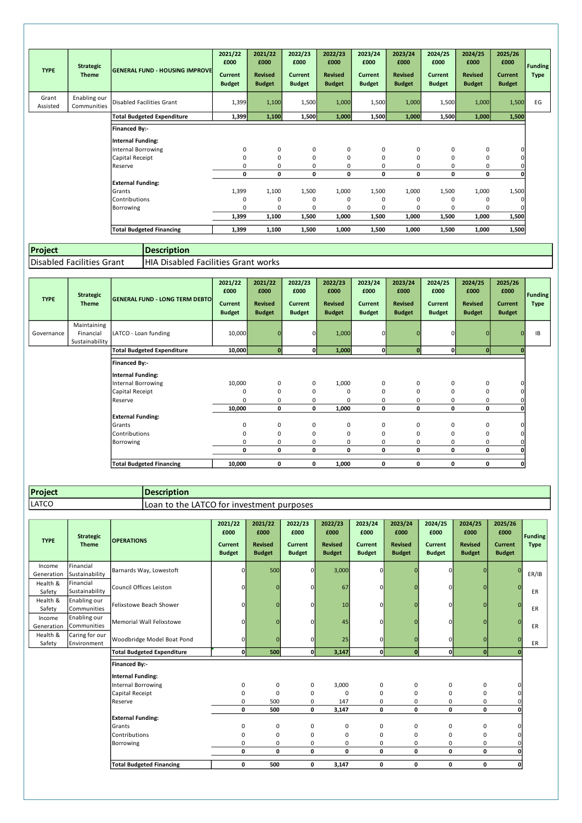| <b>TYPE</b>       | <b>Strategic</b><br><b>Theme</b> | <b>GENERAL FUND - HOUSING IMPROVE</b>            | 2021/22<br>£000<br>Current<br><b>Budget</b> | 2021/22<br>£000<br><b>Revised</b><br><b>Budget</b> | 2022/23<br>£000<br><b>Current</b><br><b>Budget</b> | 2022/23<br>£000<br><b>Revised</b><br><b>Budget</b> | 2023/24<br>£000<br><b>Current</b><br><b>Budget</b> | 2023/24<br>£000<br><b>Revised</b><br><b>Budget</b> | 2024/25<br>£000<br>Current<br><b>Budget</b> | 2024/25<br>£000<br><b>Revised</b><br><b>Budget</b> | 2025/26<br>£000<br><b>Current</b><br><b>Budget</b> | <b>Funding</b><br><b>Type</b> |
|-------------------|----------------------------------|--------------------------------------------------|---------------------------------------------|----------------------------------------------------|----------------------------------------------------|----------------------------------------------------|----------------------------------------------------|----------------------------------------------------|---------------------------------------------|----------------------------------------------------|----------------------------------------------------|-------------------------------|
| Grant<br>Assisted | Enabling our<br>Communities      | Disabled Facilities Grant                        | 1,399                                       | 1,100                                              | 1,500                                              | 1,000                                              | 1,500                                              | 1,000                                              | 1,500                                       | 1,000                                              | 1,500                                              | EG                            |
|                   |                                  | <b>Total Budgeted Expenditure</b>                | 1,399                                       | 1,100                                              | 1,500                                              | 1,000                                              | 1,500                                              | 1,000                                              | 1,500                                       | 1,000                                              | 1,500                                              |                               |
|                   |                                  | <b>Financed By:-</b><br><b>Internal Funding:</b> |                                             |                                                    |                                                    |                                                    |                                                    |                                                    |                                             |                                                    |                                                    |                               |
|                   |                                  | Internal Borrowing                               | 0                                           | 0                                                  | 0                                                  | 0                                                  | 0                                                  | 0                                                  | 0                                           | 0                                                  | $\mathbf 0$                                        |                               |
|                   |                                  | Capital Receipt<br>Reserve                       | 0<br>0                                      | $\mathbf 0$<br>0                                   | $\mathbf 0$<br>$\Omega$                            | 0<br>$\Omega$                                      | 0<br>0                                             | 0<br>0                                             | $\mathbf 0$<br>0                            | 0<br>$\mathbf 0$                                   | 0<br>$\Omega$                                      |                               |
|                   |                                  |                                                  | 0                                           | 0                                                  | 0                                                  | 0                                                  | 0                                                  | 0                                                  | 0                                           | 0                                                  |                                                    |                               |
|                   |                                  | <b>External Funding:</b>                         |                                             |                                                    |                                                    |                                                    |                                                    |                                                    |                                             |                                                    |                                                    |                               |
|                   |                                  | Grants                                           | 1,399                                       | 1,100                                              | 1,500                                              | 1,000                                              | 1,500                                              | 1,000                                              | 1,500                                       | 1,000                                              | 1,500                                              |                               |
|                   |                                  | Contributions                                    | 0                                           | 0                                                  | 0                                                  | 0                                                  | 0                                                  | 0                                                  | 0                                           | $\mathbf 0$                                        |                                                    |                               |
|                   |                                  | Borrowing                                        | 0                                           | 0                                                  | $\Omega$                                           | 0                                                  | 0                                                  | 0                                                  | $\Omega$                                    | $\mathbf 0$                                        |                                                    |                               |
|                   |                                  |                                                  | 1,399                                       | 1,100                                              | 1,500                                              | 1,000                                              | 1,500                                              | 1,000                                              | 1,500                                       | 1,000                                              | 1,500                                              |                               |
|                   |                                  | <b>Total Budgeted Financing</b>                  | 1,399                                       | 1,100                                              | 1,500                                              | 1,000                                              | 1,500                                              | 1,000                                              | 1,500                                       | 1,000                                              | 1,500                                              |                               |

**Project** Disabled Facilities Grant | HIA Disabled Facilities Grant works **Description**

| <b>TYPE</b> | <b>Strategic</b><br><b>Theme</b>           | <b>GENERAL FUND - LONG TERM DEBTO</b> | 2021/22<br>£000<br>Current<br><b>Budget</b> | 2021/22<br>£000<br><b>Revised</b><br><b>Budget</b> | 2022/23<br>£000<br>Current<br><b>Budget</b> | 2022/23<br>£000<br><b>Revised</b><br><b>Budget</b> | 2023/24<br>£000<br><b>Current</b><br><b>Budget</b> | 2023/24<br>£000<br><b>Revised</b><br><b>Budget</b> | 2024/25<br>£000<br><b>Current</b><br><b>Budget</b> | 2024/25<br>£000<br><b>Revised</b><br><b>Budget</b> | 2025/26<br>£000<br><b>Current</b><br><b>Budget</b> | <b>Funding</b><br><b>Type</b> |
|-------------|--------------------------------------------|---------------------------------------|---------------------------------------------|----------------------------------------------------|---------------------------------------------|----------------------------------------------------|----------------------------------------------------|----------------------------------------------------|----------------------------------------------------|----------------------------------------------------|----------------------------------------------------|-------------------------------|
| Governance  | Maintaining<br>Financial<br>Sustainability | LATCO - Loan funding                  | 10,000                                      |                                                    | $\mathbf{0}$                                | 1,000                                              | $\overline{0}$                                     | $\Omega$                                           | $\Omega$                                           | $\Omega$                                           |                                                    | IB                            |
|             |                                            | <b>Total Budgeted Expenditure</b>     | 10,000                                      | $\Omega$                                           | $\mathbf{0}$                                | 1,000                                              | $\mathbf{0}$                                       | $\mathbf 0$                                        | 0l                                                 | $\mathbf{0}$                                       |                                                    |                               |
|             |                                            | Financed By:-<br>Internal Funding:    |                                             |                                                    |                                             |                                                    |                                                    |                                                    |                                                    |                                                    |                                                    |                               |
|             |                                            | Internal Borrowing                    | 10,000                                      | 0                                                  | 0                                           | 1,000                                              | 0                                                  | $\mathbf 0$                                        | 0                                                  | 0                                                  |                                                    |                               |
|             |                                            | Capital Receipt                       | $\mathbf 0$                                 | $\Omega$                                           | $\mathbf 0$                                 | $\Omega$                                           | $\mathbf 0$                                        | $\mathbf 0$                                        | $\Omega$                                           | 0                                                  |                                                    |                               |
|             |                                            | Reserve                               | $\Omega$                                    | $\Omega$                                           | 0                                           | $\Omega$                                           | 0                                                  | $\mathbf 0$                                        | 0                                                  | 0                                                  |                                                    |                               |
|             |                                            |                                       | 10,000                                      | $\mathbf 0$                                        | 0                                           | 1,000                                              | 0                                                  | 0                                                  | 0                                                  | 0                                                  |                                                    |                               |
|             |                                            | <b>External Funding:</b>              |                                             |                                                    |                                             |                                                    |                                                    |                                                    |                                                    |                                                    |                                                    |                               |
|             |                                            | <b>IGrants</b>                        | 0                                           | 0                                                  | 0                                           | 0                                                  | 0                                                  | 0                                                  | 0                                                  | 0                                                  |                                                    |                               |
|             |                                            | Contributions                         | 0                                           | $\mathbf 0$                                        | $\mathbf 0$                                 | 0                                                  | $\mathbf 0$                                        | 0                                                  | 0                                                  | 0                                                  |                                                    |                               |
|             |                                            | Borrowing                             | 0                                           | $\Omega$                                           | 0                                           | $\mathbf 0$                                        | 0                                                  | 0                                                  | 0                                                  | 0                                                  |                                                    |                               |
|             |                                            |                                       | 0                                           | 0                                                  | 0                                           | 0                                                  | 0                                                  | 0                                                  | 0                                                  | 0                                                  |                                                    |                               |
|             |                                            | <b>Total Budgeted Financing</b>       | 10,000                                      | 0                                                  | 0                                           | 1,000                                              | 0                                                  | 0                                                  | 0                                                  | 0                                                  | C                                                  |                               |

```
Project
LATCO
```
**Description** Loan to the LATCO for investment purposes

| <b>TYPE</b>          | <b>Strategic</b><br><b>Theme</b> | <b>OPERATIONS</b>                                | 2021/22<br>£000<br>Current<br><b>Budget</b> | 2021/22<br>£000<br><b>Revised</b><br><b>Budget</b> | 2022/23<br>£000<br>Current<br><b>Budget</b> | 2022/23<br>£000<br><b>Revised</b><br><b>Budget</b> | 2023/24<br>£000<br><b>Current</b><br><b>Budget</b> | 2023/24<br>£000<br><b>Revised</b><br><b>Budget</b> | 2024/25<br>£000<br><b>Current</b><br><b>Budget</b> | 2024/25<br>£000<br><b>Revised</b><br><b>Budget</b> | 2025/26<br>£000<br><b>Current</b><br><b>Budget</b> | <b>Funding</b><br><b>Type</b> |
|----------------------|----------------------------------|--------------------------------------------------|---------------------------------------------|----------------------------------------------------|---------------------------------------------|----------------------------------------------------|----------------------------------------------------|----------------------------------------------------|----------------------------------------------------|----------------------------------------------------|----------------------------------------------------|-------------------------------|
| Income<br>Generation | Financial<br>Sustainability      | Barnards Way, Lowestoft                          | $\mathbf{0}$                                | 500                                                | 0                                           | 3,000                                              | $\Omega$                                           |                                                    | 0                                                  | $\Omega$                                           |                                                    | ER/IB                         |
| Health &<br>Safety   | Financial<br>Sustainability      | Council Offices Leiston                          | $\mathbf{0}$                                |                                                    | $\mathbf 0$                                 | 67                                                 | 0                                                  | $\Omega$                                           | 0                                                  | $\Omega$                                           |                                                    | ER                            |
| Health &<br>Safety   | Enabling our<br>Communities      | Felixstowe Beach Shower                          | $\mathbf{0}$                                | $\Omega$                                           | $\mathbf 0$                                 | 10                                                 | 0                                                  | $\Omega$                                           | 0                                                  | $\Omega$                                           | n                                                  | ER                            |
| Income<br>Generation | Enabling our<br>Communities      | Memorial Wall Felixstowe                         | $\Omega$                                    |                                                    | $\mathbf 0$                                 | 45                                                 | 0                                                  |                                                    | $\Omega$                                           | O                                                  |                                                    | ER                            |
| Health &<br>Safety   | Caring for our<br>Environment    | Woodbridge Model Boat Pond                       | οl                                          | n                                                  | 0                                           | 25                                                 | $\mathbf 0$                                        | $\Omega$                                           | 0                                                  | $\Omega$                                           |                                                    | ER                            |
|                      |                                  | <b>Total Budgeted Expenditure</b>                | 0                                           | 500                                                | $\mathbf 0$                                 | 3,147                                              | O                                                  | $\mathbf{0}$                                       | οl                                                 | $\mathbf{0}$                                       |                                                    |                               |
|                      |                                  | <b>Financed By:-</b><br><b>Internal Funding:</b> |                                             |                                                    |                                             |                                                    |                                                    |                                                    |                                                    |                                                    |                                                    |                               |
|                      |                                  | <b>Internal Borrowing</b>                        | 0                                           | $\mathbf 0$                                        | 0                                           | 3,000                                              | 0                                                  | 0                                                  | 0                                                  | 0                                                  |                                                    |                               |
|                      |                                  | Capital Receipt                                  | 0                                           | 0                                                  | 0                                           | $\mathbf 0$                                        | 0                                                  | 0                                                  | 0                                                  | 0                                                  |                                                    |                               |
|                      |                                  | Reserve                                          | 0                                           | 500                                                | 0                                           | 147                                                | 0                                                  | 0                                                  | 0                                                  | 0                                                  |                                                    |                               |
|                      |                                  |                                                  | 0                                           | 500                                                | $\mathbf 0$                                 | 3,147                                              | $\mathbf 0$                                        | 0                                                  | 0                                                  | 0                                                  |                                                    |                               |
|                      |                                  | <b>External Funding:</b>                         |                                             |                                                    |                                             |                                                    |                                                    |                                                    |                                                    |                                                    |                                                    |                               |
|                      |                                  | Grants                                           | 0                                           | 0                                                  | $\mathbf 0$                                 | 0                                                  | $\mathbf 0$                                        | $\mathbf 0$                                        | 0                                                  | 0                                                  |                                                    |                               |
|                      |                                  | Contributions                                    | $\Omega$                                    | 0                                                  | 0                                           | $\mathbf 0$                                        | 0                                                  | 0                                                  | 0                                                  | 0                                                  |                                                    |                               |
|                      |                                  | Borrowing                                        | 0<br>0                                      | 0<br>0                                             | 0<br>$\mathbf 0$                            | 0<br>0                                             | 0<br>$\mathbf{0}$                                  | 0<br>0                                             | 0<br>0                                             | 0<br>$\mathbf 0$                                   | O                                                  |                               |
|                      |                                  |                                                  |                                             |                                                    |                                             |                                                    |                                                    |                                                    |                                                    |                                                    |                                                    |                               |
|                      |                                  | <b>Total Budgeted Financing</b>                  | 0                                           | 500                                                | 0                                           | 3,147                                              | $\mathbf 0$                                        | 0                                                  | 0                                                  | 0                                                  | 0                                                  |                               |

**Total 54,776 16,169 40,332 45,135 46,489 68,643 58,589 79,238 47,764**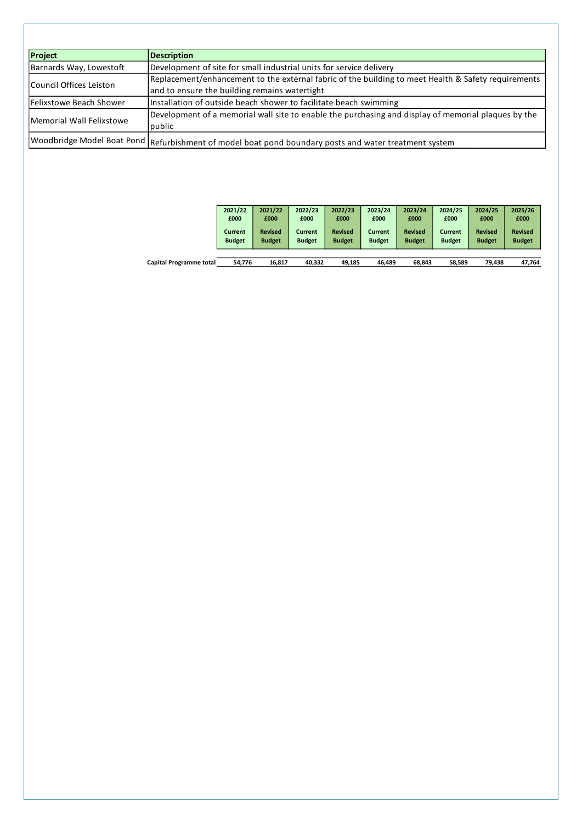| <b>Project</b>           | <b>Description</b>                                                                                    |
|--------------------------|-------------------------------------------------------------------------------------------------------|
| Barnards Way, Lowestoft  | Development of site for small industrial units for service delivery                                   |
|                          | Replacement/enhancement to the external fabric of the building to meet Health & Safety requirements   |
| Council Offices Leiston  | and to ensure the building remains watertight                                                         |
| Felixstowe Beach Shower  | Installation of outside beach shower to facilitate beach swimming                                     |
|                          | Development of a memorial wall site to enable the purchasing and display of memorial plaques by the   |
| Memorial Wall Felixstowe | public                                                                                                |
|                          | Woodbridge Model Boat Pond Refurbishment of model boat pond boundary posts and water treatment system |

|                                | 2021/22       | 2021/22        | 2022/23       | 2022/23        | 2023/24       | 2023/24        | 2024/25       | 2024/25        | 2025/26        |
|--------------------------------|---------------|----------------|---------------|----------------|---------------|----------------|---------------|----------------|----------------|
|                                | £000          | £000           | £000          | £000           | £000          | £000           | £000          | £000           | £000           |
|                                | Current       | <b>Revised</b> | Current       | <b>Revised</b> | Current       | <b>Revised</b> | Current       | <b>Revised</b> | <b>Revised</b> |
|                                | <b>Budget</b> | <b>Budget</b>  | <b>Budget</b> | <b>Budget</b>  | <b>Budget</b> | <b>Budget</b>  | <b>Budget</b> | <b>Budget</b>  | <b>Budget</b>  |
|                                |               |                |               |                |               |                |               |                |                |
| <b>Capital Programme total</b> | 54.776        | 16,817         | 40,332        | 49.185         | 46.489        | 68,843         | 58,589        | 79,438         | 47,764         |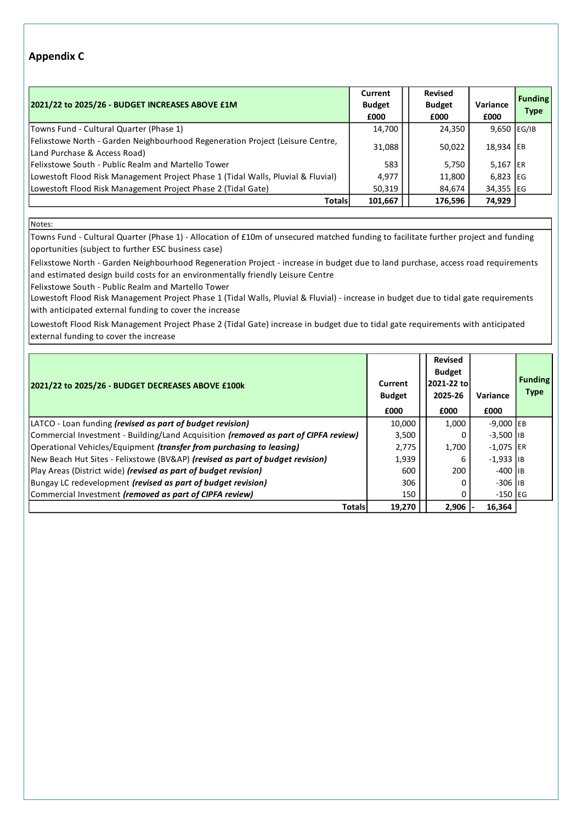## **Appendix C**

| 2021/22 to 2025/26 - BUDGET INCREASES ABOVE £1M                                                               | Current<br><b>Budget</b><br>£000 | <b>Revised</b><br><b>Budget</b><br>£000 | Variance<br>£000 | <b>Funding</b><br><b>Type</b> |
|---------------------------------------------------------------------------------------------------------------|----------------------------------|-----------------------------------------|------------------|-------------------------------|
| Towns Fund - Cultural Quarter (Phase 1)                                                                       | 14,700                           | 24,350                                  | 9,650 EG/IB      |                               |
| Felixstowe North - Garden Neighbourhood Regeneration Project (Leisure Centre,<br>Land Purchase & Access Road) | 31,088                           | 50,022                                  | 18,934 EB        |                               |
| Felixstowe South - Public Realm and Martello Tower                                                            | 583                              | 5,750                                   | 5,167 ER         |                               |
| Lowestoft Flood Risk Management Project Phase 1 (Tidal Walls, Pluvial & Fluvial)                              | 4,977                            | 11,800                                  | $6,823$ EG       |                               |
| Lowestoft Flood Risk Management Project Phase 2 (Tidal Gate)                                                  | 50,319                           | 84,674                                  | 34,355 EG        |                               |
| <b>Totals</b>                                                                                                 | 101,667                          | 176,596                                 | 74,929           |                               |

Notes:

Towns Fund - Cultural Quarter (Phase 1) - Allocation of £10m of unsecured matched funding to facilitate further project and funding oportunities (subject to further ESC business case)

Felixstowe North - Garden Neighbourhood Regeneration Project - increase in budget due to land purchase, access road requirements and estimated design build costs for an environmentally friendly Leisure Centre

Felixstowe South - Public Realm and Martello Tower

Lowestoft Flood Risk Management Project Phase 1 (Tidal Walls, Pluvial & Fluvial) - increase in budget due to tidal gate requirements with anticipated external funding to cover the increase

Lowestoft Flood Risk Management Project Phase 2 (Tidal Gate) increase in budget due to tidal gate requirements with anticipated external funding to cover the increase

| 2021/22 to 2025/26 - BUDGET DECREASES ABOVE £100k                                   | Current<br><b>Budget</b><br>£000 | <b>Revised</b><br><b>Budget</b><br>2021-22 to<br>2025-26<br>£000 | Variance<br>£000       | <b>Funding</b><br><b>Type</b> |
|-------------------------------------------------------------------------------------|----------------------------------|------------------------------------------------------------------|------------------------|-------------------------------|
| LATCO - Loan funding <i>(revised as part of budget revision)</i>                    | 10,000                           | 1,000                                                            | $-9,000$ EB            |                               |
| Commercial Investment - Building/Land Acquisition (removed as part of CIPFA review) | 3,500                            |                                                                  | $-3.500$ IIB           |                               |
| Operational Vehicles/Equipment (transfer from purchasing to leasing)                | 2,775                            | 1,700                                                            | $-1,075$ ER            |                               |
| New Beach Hut Sites - Felixstowe (BV&AP) (revised as part of budget revision)       | 1,939                            | 6                                                                | $-1,933$ IB            |                               |
| Play Areas (District wide) (revised as part of budget revision)                     | 600                              | 200                                                              | $-400$ I <sub>IB</sub> |                               |
| Bungay LC redevelopment <i>(revised as part of budget revision)</i>                 | 306                              |                                                                  | $-306$ IIB             |                               |
| Commercial Investment (removed as part of CIPFA review)                             | 150                              |                                                                  | $-150$ EG              |                               |
| <b>Totals</b>                                                                       | 19,270                           | 2,906                                                            | 16,364                 |                               |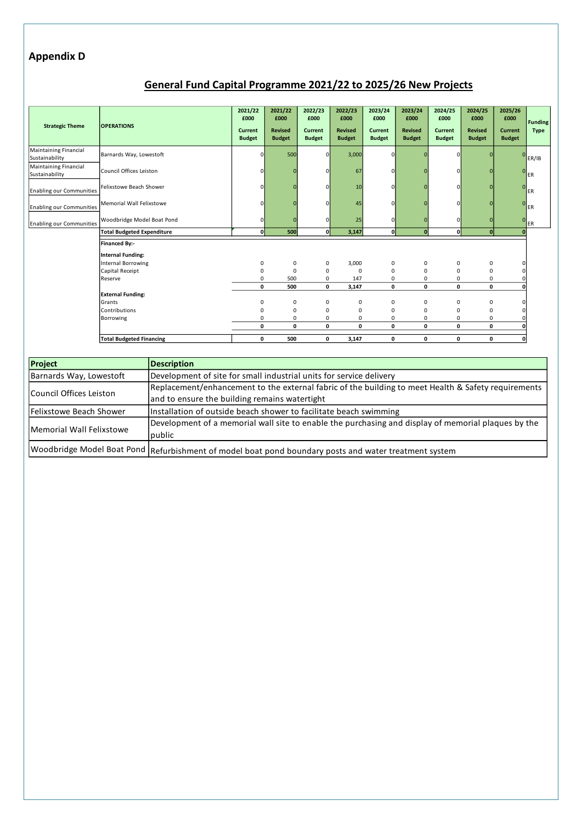## **Appendix D**

# **General Fund Capital Programme 2021/22 to 2025/26 New Projects**

| <b>Strategic Theme</b>                         | <b>OPERATIONS</b>                                | 2021/22<br>£000<br>Current<br><b>Budget</b> | 2021/22<br>£000<br><b>Revised</b><br><b>Budget</b> | 2022/23<br>£000<br><b>Current</b><br><b>Budget</b> | 2022/23<br>£000<br><b>Revised</b><br><b>Budget</b> | 2023/24<br>£000<br>Current<br><b>Budget</b> | 2023/24<br>£000<br><b>Revised</b><br><b>Budget</b> | 2024/25<br>£000<br>Current<br><b>Budget</b> | 2024/25<br>£000<br><b>Revised</b><br><b>Budget</b> | 2025/26<br>£000<br><b>Current</b><br><b>Budget</b> | <b>Funding</b><br><b>Type</b> |
|------------------------------------------------|--------------------------------------------------|---------------------------------------------|----------------------------------------------------|----------------------------------------------------|----------------------------------------------------|---------------------------------------------|----------------------------------------------------|---------------------------------------------|----------------------------------------------------|----------------------------------------------------|-------------------------------|
| <b>Maintaining Financial</b><br>Sustainability | Barnards Way, Lowestoft                          | $\Omega$                                    | 500                                                | n                                                  | 3,000                                              | $\Omega$                                    |                                                    |                                             |                                                    |                                                    | ER/IB                         |
| <b>Maintaining Financial</b><br>Sustainability | Council Offices Leiston                          | $\Omega$                                    |                                                    |                                                    | 67                                                 |                                             |                                                    |                                             |                                                    |                                                    | <b>ER</b>                     |
| <b>Enabling our Communities</b>                | Felixstowe Beach Shower                          | $\Omega$                                    |                                                    |                                                    | 10                                                 |                                             |                                                    |                                             |                                                    | $\Omega$                                           | ER                            |
| <b>Enabling our Communities</b>                | Memorial Wall Felixstowe                         | $\Omega$                                    |                                                    |                                                    | 45                                                 |                                             |                                                    |                                             |                                                    | n                                                  | ER                            |
| <b>Enabling our Communities</b>                | Woodbridge Model Boat Pond                       | 0                                           |                                                    |                                                    | 25                                                 | $\Omega$                                    |                                                    |                                             |                                                    | $\Omega$                                           | ER                            |
|                                                | <b>Total Budgeted Expenditure</b>                | 0                                           | 500                                                | οI                                                 | 3,147                                              | <sub>0</sub>                                |                                                    | O                                           | $\mathbf{0}$                                       |                                                    |                               |
|                                                | <b>Financed By:-</b><br><b>Internal Funding:</b> |                                             |                                                    |                                                    |                                                    |                                             |                                                    |                                             |                                                    |                                                    |                               |
|                                                | <b>Internal Borrowing</b>                        | 0                                           | 0                                                  | 0                                                  | 3,000                                              | $\mathbf 0$                                 | 0                                                  | 0                                           | 0                                                  | $\Omega$                                           |                               |
|                                                | Capital Receipt                                  | 0                                           | $\mathbf 0$                                        | 0                                                  | 0                                                  | $\mathbf 0$                                 | $\mathbf 0$                                        | 0                                           | 0                                                  |                                                    |                               |
|                                                | Reserve                                          | 0                                           | 500                                                | 0                                                  | 147                                                | $\mathbf 0$                                 | $\mathbf 0$                                        | 0                                           | 0                                                  |                                                    |                               |
|                                                |                                                  | 0                                           | 500                                                | 0                                                  | 3,147                                              | $\mathbf 0$                                 | 0                                                  | 0                                           | $\mathbf 0$                                        |                                                    |                               |
|                                                | <b>External Funding:</b>                         |                                             |                                                    |                                                    |                                                    |                                             |                                                    |                                             |                                                    |                                                    |                               |
|                                                | Grants                                           | 0                                           | 0                                                  | 0                                                  | 0                                                  | 0                                           | 0                                                  | 0                                           | 0                                                  |                                                    |                               |
|                                                | Contributions                                    | $\Omega$                                    | 0                                                  | 0                                                  | 0                                                  | $\mathbf 0$                                 | 0                                                  | 0                                           | 0                                                  |                                                    |                               |
|                                                | Borrowing                                        | $\Omega$                                    | 0                                                  | $\mathbf 0$                                        | 0                                                  | $\mathbf 0$                                 | 0                                                  | 0                                           | 0                                                  |                                                    |                               |
|                                                |                                                  | 0                                           | $\mathbf 0$                                        | 0                                                  | $\mathbf 0$                                        | 0                                           | 0                                                  | $\mathbf 0$                                 | $\mathbf 0$                                        |                                                    |                               |
|                                                | <b>Total Budgeted Financing</b>                  | 0                                           | 500                                                | 0                                                  | 3,147                                              | 0                                           | 0                                                  | 0                                           | 0                                                  |                                                    |                               |

| Project                  | <b>Description</b>                                                                                    |
|--------------------------|-------------------------------------------------------------------------------------------------------|
| Barnards Way, Lowestoft  | Development of site for small industrial units for service delivery                                   |
|                          | Replacement/enhancement to the external fabric of the building to meet Health & Safety requirements   |
| Council Offices Leiston  | and to ensure the building remains watertight                                                         |
| Felixstowe Beach Shower  | Installation of outside beach shower to facilitate beach swimming                                     |
| Memorial Wall Felixstowe | Development of a memorial wall site to enable the purchasing and display of memorial plaques by the   |
|                          | public                                                                                                |
|                          | Woodbridge Model Boat Pond Refurbishment of model boat pond boundary posts and water treatment system |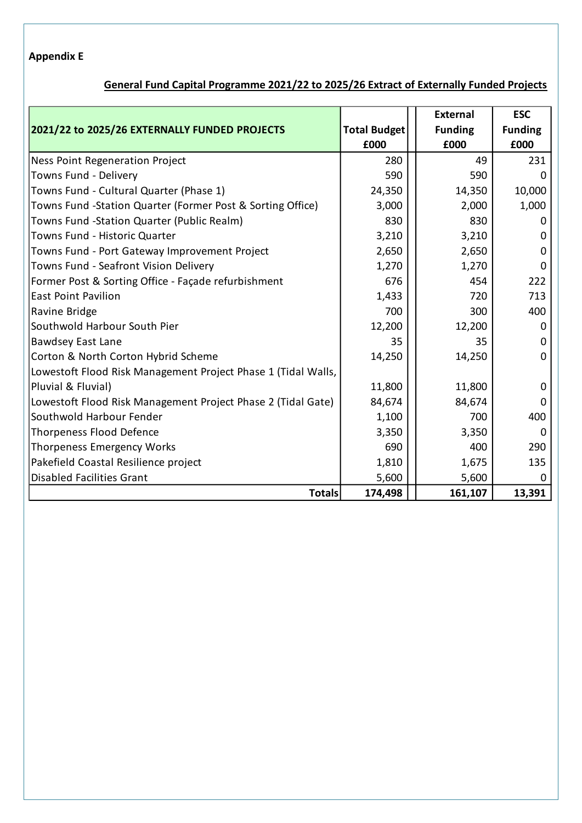## **Appendix E**

# **General Fund Capital Programme 2021/22 to 2025/26 Extract of Externally Funded Projects**

|                                                               |                     | <b>External</b> | <b>ESC</b>     |
|---------------------------------------------------------------|---------------------|-----------------|----------------|
| 2021/22 to 2025/26 EXTERNALLY FUNDED PROJECTS                 | <b>Total Budget</b> | <b>Funding</b>  | <b>Funding</b> |
|                                                               | £000                | £000            | £000           |
| <b>Ness Point Regeneration Project</b>                        | 280                 | 49              | 231            |
| Towns Fund - Delivery                                         | 590                 | 590             | O              |
| Towns Fund - Cultural Quarter (Phase 1)                       | 24,350              | 14,350          | 10,000         |
| Towns Fund -Station Quarter (Former Post & Sorting Office)    | 3,000               | 2,000           | 1,000          |
| Towns Fund -Station Quarter (Public Realm)                    | 830                 | 830             | 0              |
| Towns Fund - Historic Quarter                                 | 3,210               | 3,210           | 0              |
| Towns Fund - Port Gateway Improvement Project                 | 2,650               | 2,650           | 0              |
| Towns Fund - Seafront Vision Delivery                         | 1,270               | 1,270           | 0              |
| Former Post & Sorting Office - Façade refurbishment           | 676                 | 454             | 222            |
| <b>East Point Pavilion</b>                                    | 1,433               | 720             | 713            |
| Ravine Bridge                                                 | 700                 | 300             | 400            |
| Southwold Harbour South Pier                                  | 12,200              | 12,200          | $\Omega$       |
| <b>Bawdsey East Lane</b>                                      | 35                  | 35              | $\Omega$       |
| Corton & North Corton Hybrid Scheme                           | 14,250              | 14,250          | 0              |
| Lowestoft Flood Risk Management Project Phase 1 (Tidal Walls, |                     |                 |                |
| Pluvial & Fluvial)                                            | 11,800              | 11,800          | 0              |
| Lowestoft Flood Risk Management Project Phase 2 (Tidal Gate)  | 84,674              | 84,674          | $\Omega$       |
| Southwold Harbour Fender                                      | 1,100               | 700             | 400            |
| <b>Thorpeness Flood Defence</b>                               | 3,350               | 3,350           | 0              |
| <b>Thorpeness Emergency Works</b>                             | 690                 | 400             | 290            |
| Pakefield Coastal Resilience project                          | 1,810               | 1,675           | 135            |
| <b>Disabled Facilities Grant</b>                              | 5,600               | 5,600           | 0              |
| <b>Totals</b>                                                 | 174,498             | 161,107         | 13,391         |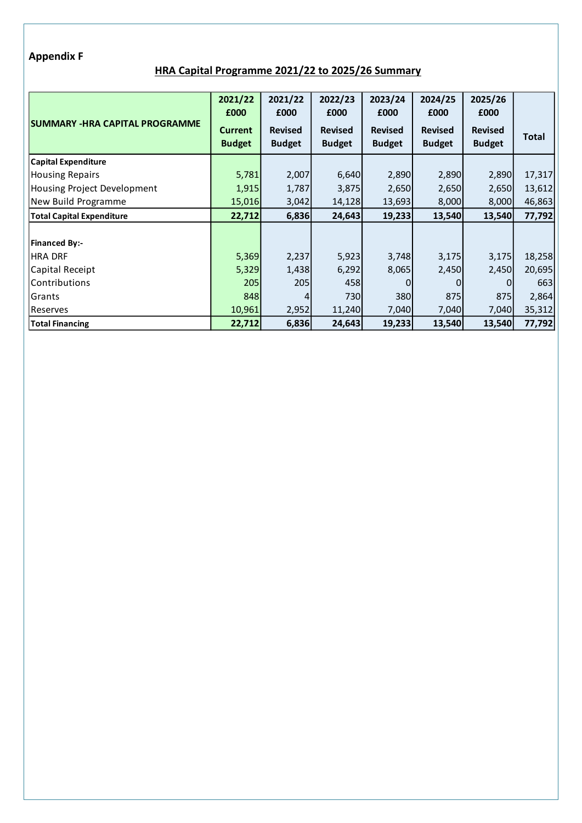#### **Appendix F**

## **HRA Capital Programme 2021/22 to 2025/26 Summary**

|                                       | 2021/22<br>£000                 | 2021/22<br>£000                 | 2022/23<br>£000                 | 2023/24<br>£000                 | 2024/25<br>£000                 | 2025/26<br>£000                 |        |
|---------------------------------------|---------------------------------|---------------------------------|---------------------------------|---------------------------------|---------------------------------|---------------------------------|--------|
| <b>SUMMARY -HRA CAPITAL PROGRAMME</b> | <b>Current</b><br><b>Budget</b> | <b>Revised</b><br><b>Budget</b> | <b>Revised</b><br><b>Budget</b> | <b>Revised</b><br><b>Budget</b> | <b>Revised</b><br><b>Budget</b> | <b>Revised</b><br><b>Budget</b> | Total  |
| <b>Capital Expenditure</b>            |                                 |                                 |                                 |                                 |                                 |                                 |        |
| <b>Housing Repairs</b>                | 5,781                           | 2,007                           | 6,640                           | 2,890                           | 2,890                           | 2,890                           | 17,317 |
| Housing Project Development           | 1,915                           | 1,787                           | 3,875                           | 2,650                           | 2,650                           | 2,650                           | 13,612 |
| New Build Programme                   | 15,016                          | 3,042                           | 14,128                          | 13,693                          | 8,000                           | 8,000                           | 46,863 |
| <b>Total Capital Expenditure</b>      | 22,712                          | 6,836                           | 24,643                          | 19,233                          | 13,540                          | 13,540                          | 77,792 |
|                                       |                                 |                                 |                                 |                                 |                                 |                                 |        |
| <b>Financed By:-</b>                  |                                 |                                 |                                 |                                 |                                 |                                 |        |
| <b>HRA DRF</b>                        | 5,369                           | 2,237                           | 5,923                           | 3,748                           | 3,175                           | 3,175                           | 18,258 |
| Capital Receipt                       | 5,329                           | 1,438                           | 6,292                           | 8,065                           | 2,450                           | 2,450                           | 20,695 |
| Contributions                         | 205                             | 205                             | 458                             |                                 | 0                               | 0                               | 663    |
| Grants                                | 848                             | 4                               | 730                             | 380                             | 875                             | 875                             | 2,864  |
| Reserves                              | 10,961                          | 2,952                           | 11,240                          | 7,040                           | 7,040                           | 7,040                           | 35,312 |
| <b>Total Financing</b>                | 22,712                          | 6,836                           | 24,643                          | 19,233                          | 13,540                          | 13,540                          | 77,792 |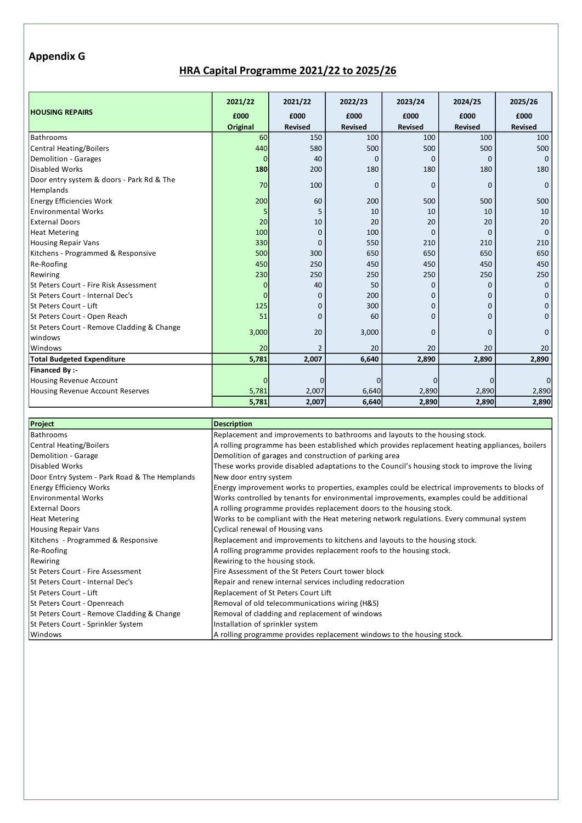#### **Appendix G**

## **HRA Capital Programme 2021/22 to 2025/26**

|                                            | 2021/22  | 2021/22                  | 2022/23        | 2023/24        | 2024/25        | 2025/26        |
|--------------------------------------------|----------|--------------------------|----------------|----------------|----------------|----------------|
| <b>HOUSING REPAIRS</b>                     | £000     | £000                     | £000           | £000           | £000           | £000           |
|                                            | Original | <b>Revised</b>           | <b>Revised</b> | <b>Revised</b> | <b>Revised</b> | <b>Revised</b> |
| Bathrooms                                  | 60       | 150                      | 100            | 100            | 100            | 100            |
| Central Heating/Boilers                    | 440      | 580                      | 500            | 500            | 500            | 500            |
| <b>Demolition - Garages</b>                |          | 40                       | 0              | <sup>0</sup>   | $\Omega$       | $\Omega$       |
| Disabled Works                             | 180      | 200                      | 180            | 180            | 180            | 180            |
| Door entry system & doors - Park Rd & The  | 70       | 100                      | $\Omega$       | $\Omega$       | $\Omega$       | $\Omega$       |
| Hemplands                                  |          |                          |                |                |                |                |
| <b>Energy Efficiencies Work</b>            | 200      | 60                       | 200            | 500            | 500            | 500            |
| <b>Environmental Works</b>                 |          |                          | 10             | 10             | 10             | 10             |
| <b>External Doors</b>                      | 20       | 10                       | 20             | 20             | 20             | 20             |
| <b>Heat Metering</b>                       | 100      | O                        | 100            | $\Omega$       | $\Omega$       | $\Omega$       |
| <b>Housing Repair Vans</b>                 | 330      | C                        | 550            | 210            | 210            | 210            |
| Kitchens - Programmed & Responsive         | 500      | 300                      | 650            | 650            | 650            | 650            |
| Re-Roofing                                 | 450      | 250                      | 450            | 450            | 450            | 450            |
| Rewiring                                   | 230      | 250                      | 250            | 250            | 250            | 250            |
| St Peters Court - Fire Risk Assessment     |          | 40                       | 50             | $\Omega$       | $\mathbf{0}$   | $\mathbf 0$    |
| St Peters Court - Internal Dec's           |          | O                        | 200            | 0              | 0              | <sup>0</sup>   |
| St Peters Court - Lift                     | 125      | 0                        | 300            | 0              | 0              | O              |
| St Peters Court - Open Reach               | 51       | C                        | 60             | ŋ              | O              |                |
| St Peters Court - Remove Cladding & Change |          | 20                       |                |                |                |                |
| windows                                    | 3,000    |                          | 3,000          | $\Omega$       | $\Omega$       | $\Omega$       |
| Windows                                    | 20       | $\overline{\phantom{0}}$ | 20             | 20             | 20             | 20             |
| <b>Total Budgeted Expenditure</b>          | 5,781    | 2,007                    | 6,640          | 2,890          | 2,890          | 2,890          |
| Financed By :-                             |          |                          |                |                |                |                |
| <b>Housing Revenue Account</b>             |          |                          |                | 0              | 0              | 0              |
| Housing Revenue Account Reserves           | 5,781    | 2,007                    | 6,640          | 2,890          | 2,890          | 2,890          |
|                                            | 5,781    | 2,007                    | 6,640          | 2,890          | 2,890          | 2,890          |

| Project                                       | <b>Description</b>                                                                              |
|-----------------------------------------------|-------------------------------------------------------------------------------------------------|
| Bathrooms                                     | Replacement and improvements to bathrooms and layouts to the housing stock.                     |
| Central Heating/Boilers                       | A rolling programme has been established which provides replacement heating appliances, boilers |
| Demolition - Garage                           | Demolition of garages and construction of parking area                                          |
| Disabled Works                                | These works provide disabled adaptations to the Council's housing stock to improve the living   |
| Door Entry System - Park Road & The Hemplands | New door entry system                                                                           |
| <b>Energy Efficiency Works</b>                | Energy improvement works to properties, examples could be electrical improvements to blocks of  |
| Environmental Works                           | Works controlled by tenants for environmental improvements, examples could be additional        |
| <b>External Doors</b>                         | A rolling programme provides replacement doors to the housing stock.                            |
| <b>Heat Metering</b>                          | Works to be compliant with the Heat metering network regulations. Every communal system         |
| Housing Repair Vans                           | Cyclical renewal of Housing vans                                                                |
| Kitchens - Programmed & Responsive            | Replacement and improvements to kitchens and layouts to the housing stock.                      |
| Re-Roofing                                    | A rolling programme provides replacement roofs to the housing stock.                            |
| Rewiring                                      | Rewiring to the housing stock.                                                                  |
| St Peters Court - Fire Assessment             | Fire Assessment of the St Peters Court tower block                                              |
| St Peters Court - Internal Dec's              | Repair and renew internal services including redocration                                        |
| St Peters Court - Lift                        | Replacement of St Peters Court Lift                                                             |
| St Peters Court - Openreach                   | Removal of old telecommunications wiring (H&S)                                                  |
| St Peters Court - Remove Cladding & Change    | Removal of cladding and replacement of windows                                                  |
| St Peters Court - Sprinkler System            | Installation of sprinkler system                                                                |
| Windows                                       | A rolling programme provides replacement windows to the housing stock.                          |